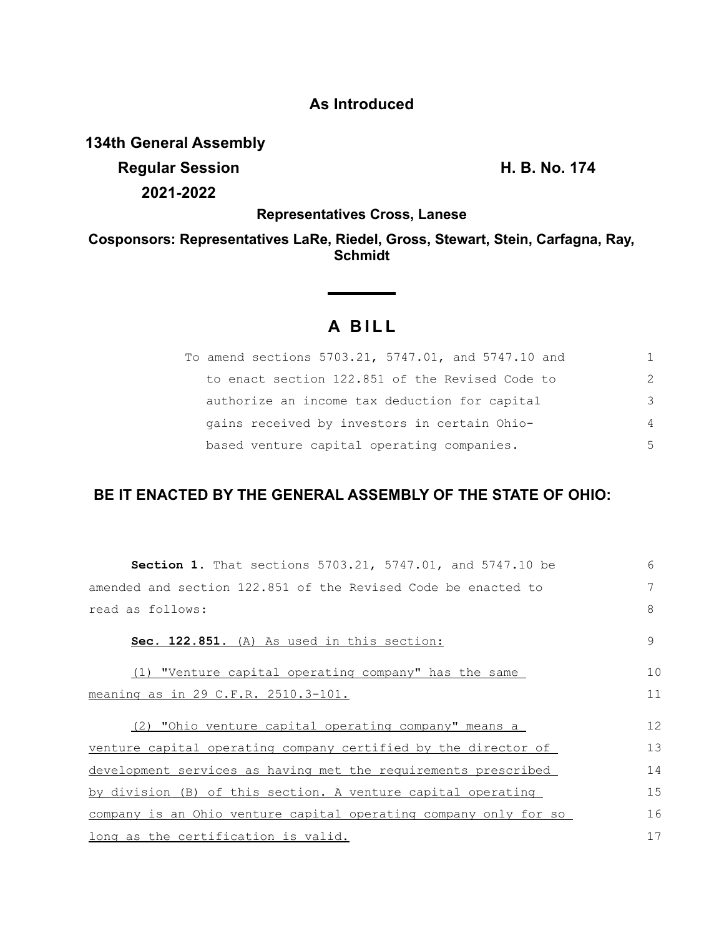## **As Introduced**

**134th General Assembly**

**Regular Session H. B. No. 174 2021-2022**

**Representatives Cross, Lanese**

**Cosponsors: Representatives LaRe, Riedel, Gross, Stewart, Stein, Carfagna, Ray, Schmidt**

# **A B I L L**

<u> 1999 - Jan Barat, p</u>

| To amend sections 5703.21, 5747.01, and 5747.10 and | 1.            |
|-----------------------------------------------------|---------------|
| to enact section 122.851 of the Revised Code to     | $\mathcal{L}$ |
| authorize an income tax deduction for capital       | 3             |
| gains received by investors in certain Ohio-        | 4             |
| based venture capital operating companies.          | 5             |

## **BE IT ENACTED BY THE GENERAL ASSEMBLY OF THE STATE OF OHIO:**

| <b>Section 1.</b> That sections 5703.21, 5747.01, and 5747.10 be | 6  |
|------------------------------------------------------------------|----|
| amended and section 122.851 of the Revised Code be enacted to    | 7  |
| read as follows:                                                 | 8  |
| Sec. 122.851. (A) As used in this section:                       | 9  |
| (1) "Venture capital operating company" has the same             | 10 |
| meaning as in 29 C.F.R. 2510.3-101.                              | 11 |
| (2) "Ohio venture capital operating company" means a             | 12 |
| venture capital operating company certified by the director of   | 13 |
| development services as having met the requirements prescribed   | 14 |
| by division (B) of this section. A venture capital operating     | 15 |
| company is an Ohio venture capital operating company only for so | 16 |
| long as the certification is valid.                              | 17 |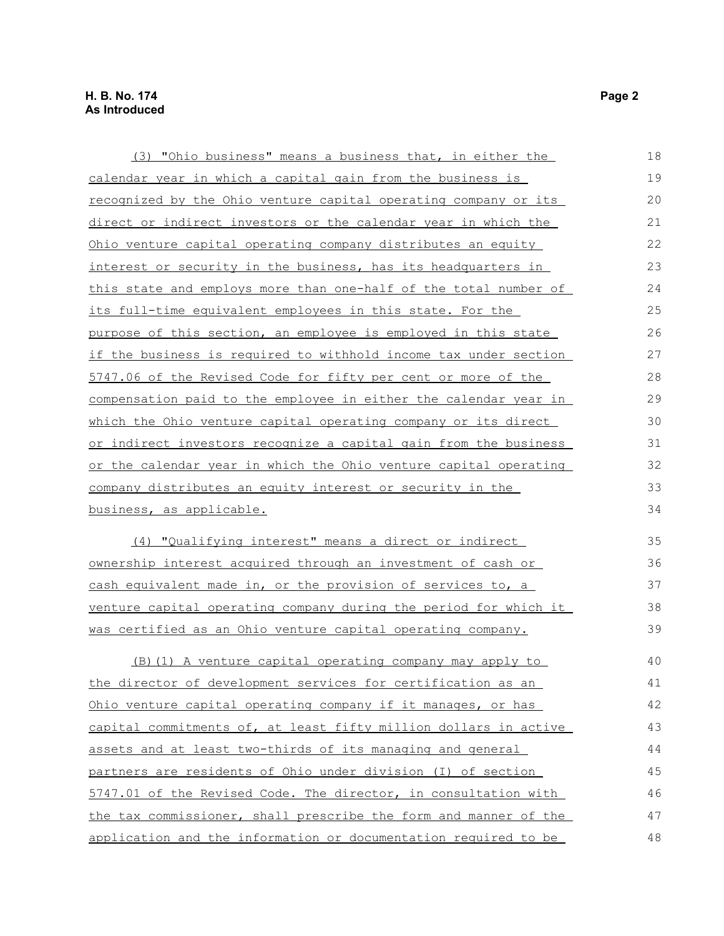| (3) "Ohio business" means a business that, in either the                | 18 |
|-------------------------------------------------------------------------|----|
| calendar year in which a capital gain from the business is              | 19 |
| recognized by the Ohio venture capital operating company or its         | 20 |
| direct or indirect investors or the calendar year in which the          | 21 |
| Ohio venture capital operating company distributes an equity            | 22 |
| interest or security in the business, has its headquarters in           | 23 |
| this state and employs more than one-half of the total number of        | 24 |
| its full-time equivalent employees in this state. For the               | 25 |
| purpose of this section, an employee is employed in this state          | 26 |
| <u>if the business is required to withhold income tax under section</u> | 27 |
| 5747.06 of the Revised Code for fifty per cent or more of the           | 28 |
| compensation paid to the employee in either the calendar year in        | 29 |
| which the Ohio venture capital operating company or its direct          | 30 |
| or indirect investors recognize a capital gain from the business        | 31 |
| or the calendar year in which the Ohio venture capital operating        | 32 |
| company distributes an equity interest or security in the               | 33 |
| business, as applicable.                                                | 34 |
| (4) "Qualifying interest" means a direct or indirect                    | 35 |
| ownership interest acquired through an investment of cash or            | 36 |
| cash equivalent made in, or the provision of services to, a             | 37 |
| venture capital operating company during the period for which it        | 38 |
| was certified as an Ohio venture capital operating company.             | 39 |
| (B) (1) A venture capital operating company may apply to                | 40 |
| the director of development services for certification as an            | 41 |
| <u>Ohio venture capital operating company if it manages, or has</u>     | 42 |
| capital commitments of, at least fifty million dollars in active        | 43 |
| assets and at least two-thirds of its managing and general              | 44 |
| partners are residents of Ohio under division (I) of section            | 45 |
| 5747.01 of the Revised Code. The director, in consultation with         | 46 |
| the tax commissioner, shall prescribe the form and manner of the        | 47 |
| application and the information or documentation required to be         | 48 |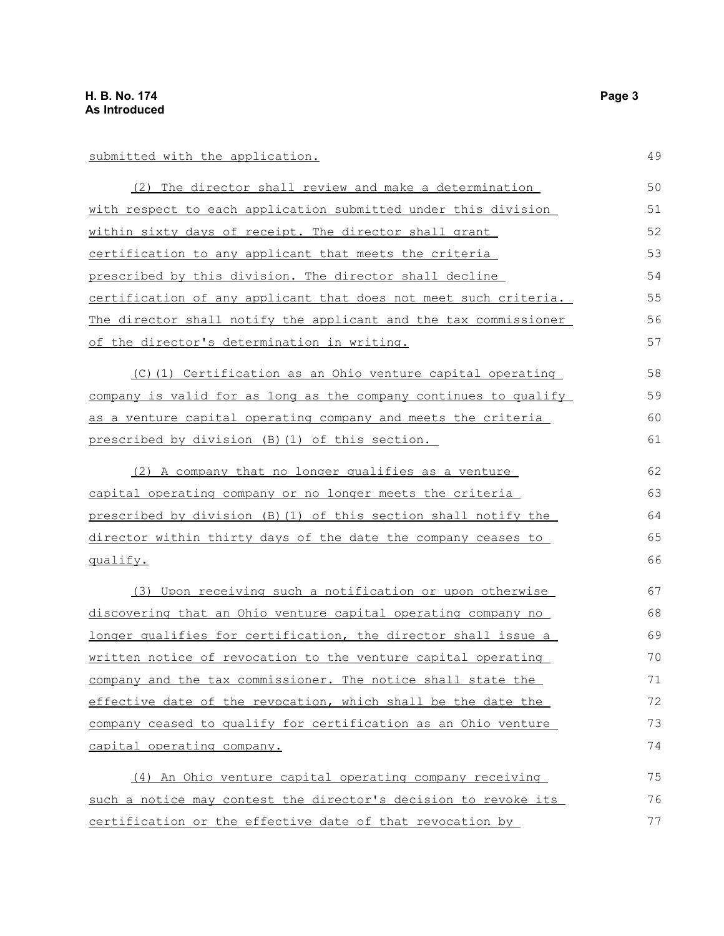#### submitted with the application.

(2) The director shall review and make a determination with respect to each application submitted under this division within sixty days of receipt. The director shall grant certification to any applicant that meets the criteria prescribed by this division. The director shall decline certification of any applicant that does not meet such criteria. The director shall notify the applicant and the tax commissioner of the director's determination in writing. 50 51 52 53 54 55 56 57

(C)(1) Certification as an Ohio venture capital operating company is valid for as long as the company continues to qualify as a venture capital operating company and meets the criteria prescribed by division (B)(1) of this section.

(2) A company that no longer qualifies as a venture capital operating company or no longer meets the criteria prescribed by division (B)(1) of this section shall notify the director within thirty days of the date the company ceases to qualify. 62 63 64 65 66

(3) Upon receiving such a notification or upon otherwise discovering that an Ohio venture capital operating company no longer qualifies for certification, the director shall issue a written notice of revocation to the venture capital operating company and the tax commissioner. The notice shall state the effective date of the revocation, which shall be the date the company ceased to qualify for certification as an Ohio venture capital operating company. 67 68 69 70 71 72 73 74

(4) An Ohio venture capital operating company receiving such a notice may contest the director's decision to revoke its certification or the effective date of that revocation by 75 76 77

49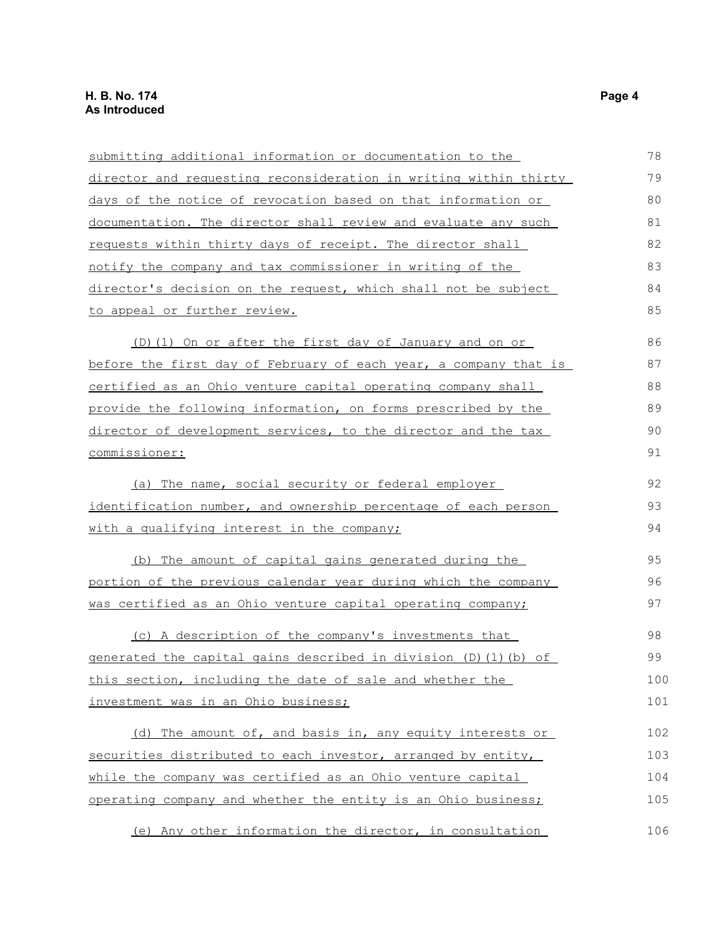| submitting additional information or documentation to the        | 78  |
|------------------------------------------------------------------|-----|
| director and requesting reconsideration in writing within thirty | 79  |
| days of the notice of revocation based on that information or    | 80  |
| documentation. The director shall review and evaluate any such   | 81  |
| requests within thirty days of receipt. The director shall       | 82  |
| notify the company and tax commissioner in writing of the        | 83  |
| director's decision on the request, which shall not be subject   | 84  |
| to appeal or further review.                                     | 85  |
| (D) (1) On or after the first day of January and on or           | 86  |
| before the first day of February of each year, a company that is | 87  |
| certified as an Ohio venture capital operating company shall     | 88  |
| provide the following information, on forms prescribed by the    | 89  |
| director of development services, to the director and the tax    | 90  |
| commissioner:                                                    | 91  |
| (a) The name, social security or federal employer                | 92  |
| identification number, and ownership percentage of each person   |     |
| <u>with a qualifying interest in the company;</u>                | 94  |
| The amount of capital gains generated during the<br>(b)          | 95  |
| portion of the previous calendar year during which the company   | 96  |
| was certified as an Ohio venture capital operating company;      | 97  |
| (c) A description of the company's investments that              | 98  |
| generated the capital gains described in division (D) (1) (b) of | 99  |
| <u>this section, including the date of sale and whether the</u>  | 100 |
| investment was in an Ohio business;                              | 101 |
| (d) The amount of, and basis in, any equity interests or         | 102 |
| securities distributed to each investor, arranged by entity,     | 103 |
| while the company was certified as an Ohio venture capital       | 104 |
| operating company and whether the entity is an Ohio business;    | 105 |
| (e) Any other information the director, in consultation          | 106 |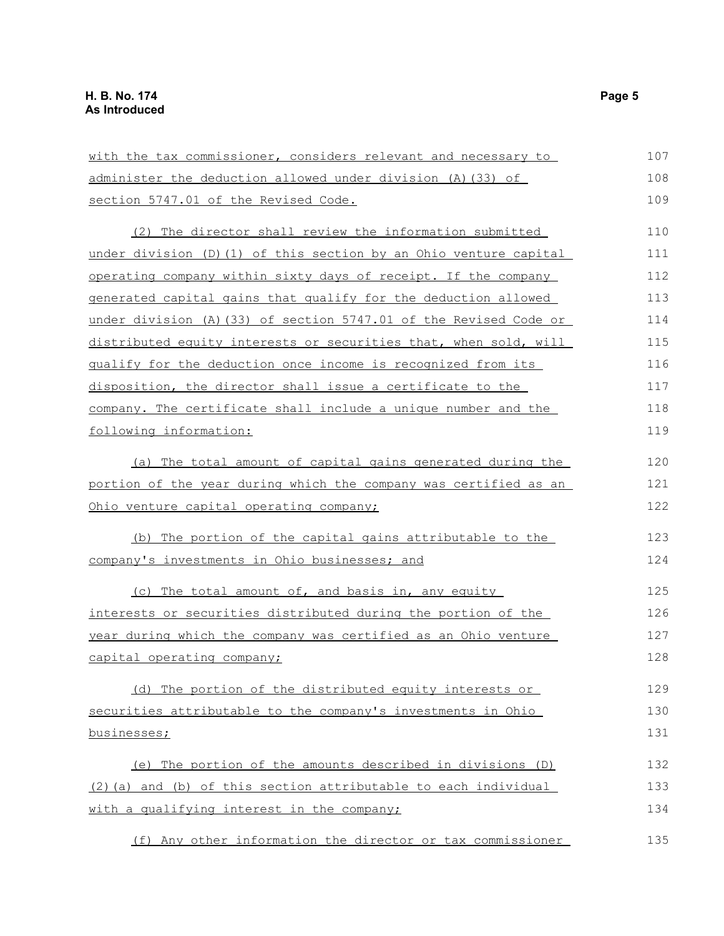| with the tax commissioner, considers relevant and necessary to    | 107 |
|-------------------------------------------------------------------|-----|
| administer the deduction allowed under division (A) (33) of       | 108 |
| section 5747.01 of the Revised Code.                              | 109 |
| (2) The director shall review the information submitted           | 110 |
| under division (D) (1) of this section by an Ohio venture capital | 111 |
| operating company within sixty days of receipt. If the company    | 112 |
| generated capital gains that qualify for the deduction allowed    | 113 |
| under division (A) (33) of section 5747.01 of the Revised Code or | 114 |
| distributed equity interests or securities that, when sold, will  | 115 |
| qualify for the deduction once income is recognized from its      | 116 |
| disposition, the director shall issue a certificate to the        | 117 |
| company. The certificate shall include a unique number and the    | 118 |
| following information:                                            | 119 |
| (a) The total amount of capital gains generated during the        | 120 |
| portion of the year during which the company was certified as an  | 121 |
| Ohio venture capital operating company;                           | 122 |
| The portion of the capital gains attributable to the<br>(b)       | 123 |
| company's investments in Ohio businesses; and                     | 124 |
| (c) The total amount of, and basis in, any equity                 | 125 |
| interests or securities distributed during the portion of the     | 126 |
| year during which the company was certified as an Ohio venture    | 127 |
| capital operating company;                                        | 128 |
| (d) The portion of the distributed equity interests or            | 129 |
| securities attributable to the company's investments in Ohio      | 130 |
| businesses;                                                       | 131 |
| The portion of the amounts described in divisions (D)<br>(e)      | 132 |
| (2) (a) and (b) of this section attributable to each individual   | 133 |
| with a qualifying interest in the company;                        | 134 |
| (f) Any other information the director or tax commissioner        | 135 |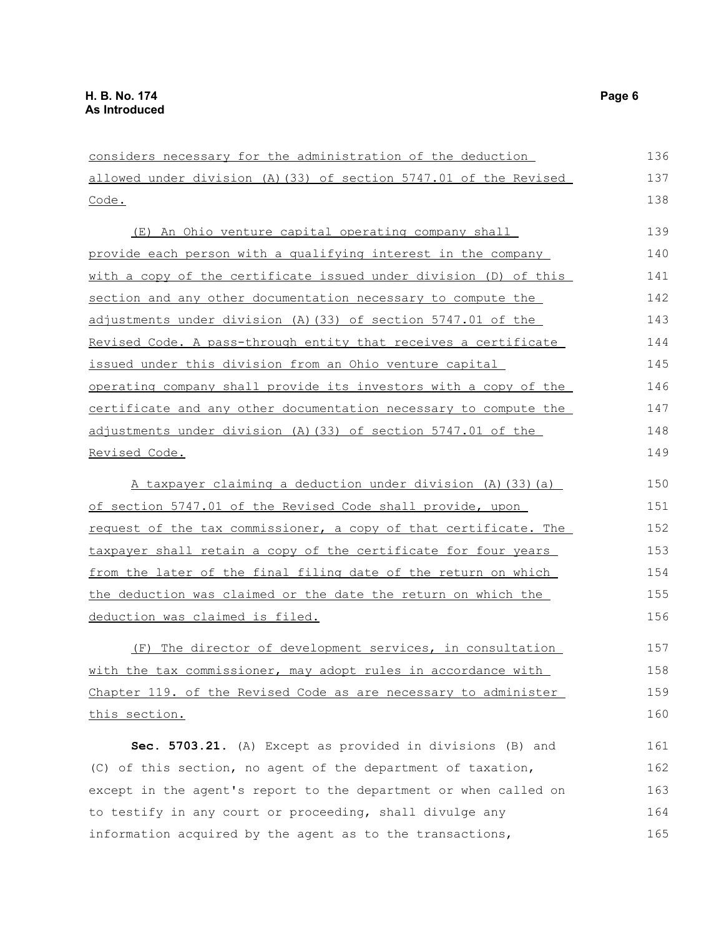considers necessary for the administration of the deduction allowed under division (A)(33) of section 5747.01 of the Revised Code. (E) An Ohio venture capital operating company shall provide each person with a qualifying interest in the company with a copy of the certificate issued under division (D) of this section and any other documentation necessary to compute the adjustments under division (A)(33) of section 5747.01 of the Revised Code. A pass-through entity that receives a certificate issued under this division from an Ohio venture capital operating company shall provide its investors with a copy of the certificate and any other documentation necessary to compute the adjustments under division (A)(33) of section 5747.01 of the Revised Code. A taxpayer claiming a deduction under division (A)(33)(a) of section 5747.01 of the Revised Code shall provide, upon request of the tax commissioner, a copy of that certificate. The taxpayer shall retain a copy of the certificate for four years from the later of the final filing date of the return on which the deduction was claimed or the date the return on which the deduction was claimed is filed. (F) The director of development services, in consultation with the tax commissioner, may adopt rules in accordance with Chapter 119. of the Revised Code as are necessary to administer this section. **Sec. 5703.21.** (A) Except as provided in divisions (B) and (C) of this section, no agent of the department of taxation, except in the agent's report to the department or when called on to testify in any court or proceeding, shall divulge any 136 137 138 139 140 141 142 143 144 145 146 147 148 149 150 151 152 153 154 155 156 157 158 159 160 161 162 163 164

information acquired by the agent as to the transactions,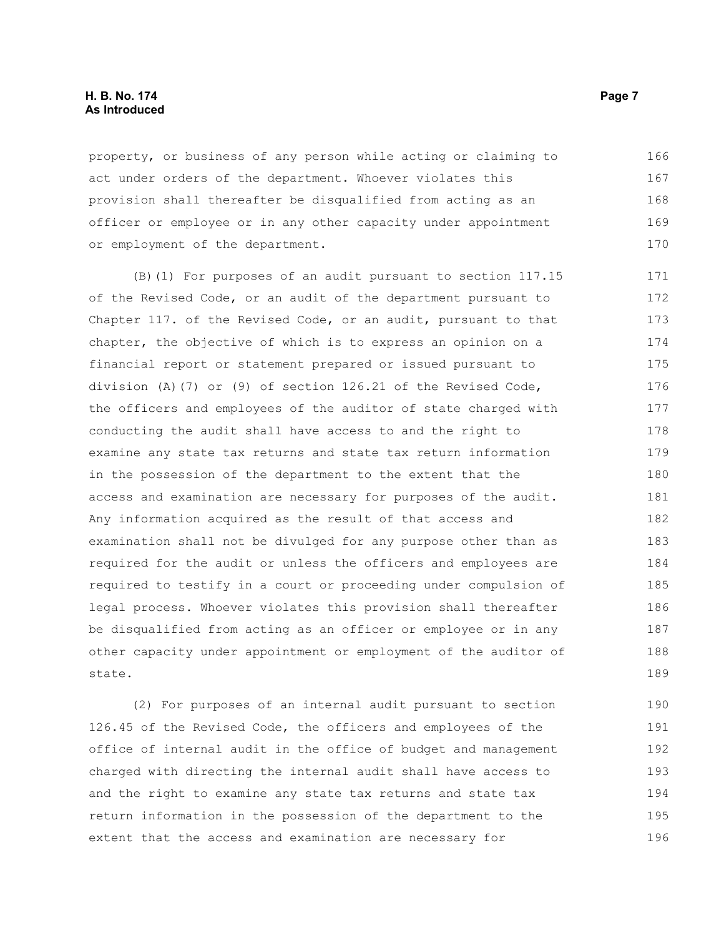#### **H. B. No. 174** Page 7 **As Introduced**

property, or business of any person while acting or claiming to act under orders of the department. Whoever violates this provision shall thereafter be disqualified from acting as an officer or employee or in any other capacity under appointment or employment of the department. 166 167 168 169 170

(B)(1) For purposes of an audit pursuant to section 117.15 of the Revised Code, or an audit of the department pursuant to Chapter 117. of the Revised Code, or an audit, pursuant to that chapter, the objective of which is to express an opinion on a financial report or statement prepared or issued pursuant to division (A)(7) or (9) of section 126.21 of the Revised Code, the officers and employees of the auditor of state charged with conducting the audit shall have access to and the right to examine any state tax returns and state tax return information in the possession of the department to the extent that the access and examination are necessary for purposes of the audit. Any information acquired as the result of that access and examination shall not be divulged for any purpose other than as required for the audit or unless the officers and employees are required to testify in a court or proceeding under compulsion of legal process. Whoever violates this provision shall thereafter be disqualified from acting as an officer or employee or in any other capacity under appointment or employment of the auditor of state. 171 172 173 174 175 176 177 178 179 180 181 182 183 184 185 186 187 188 189

(2) For purposes of an internal audit pursuant to section 126.45 of the Revised Code, the officers and employees of the office of internal audit in the office of budget and management charged with directing the internal audit shall have access to and the right to examine any state tax returns and state tax return information in the possession of the department to the extent that the access and examination are necessary for 190 191 192 193 194 195 196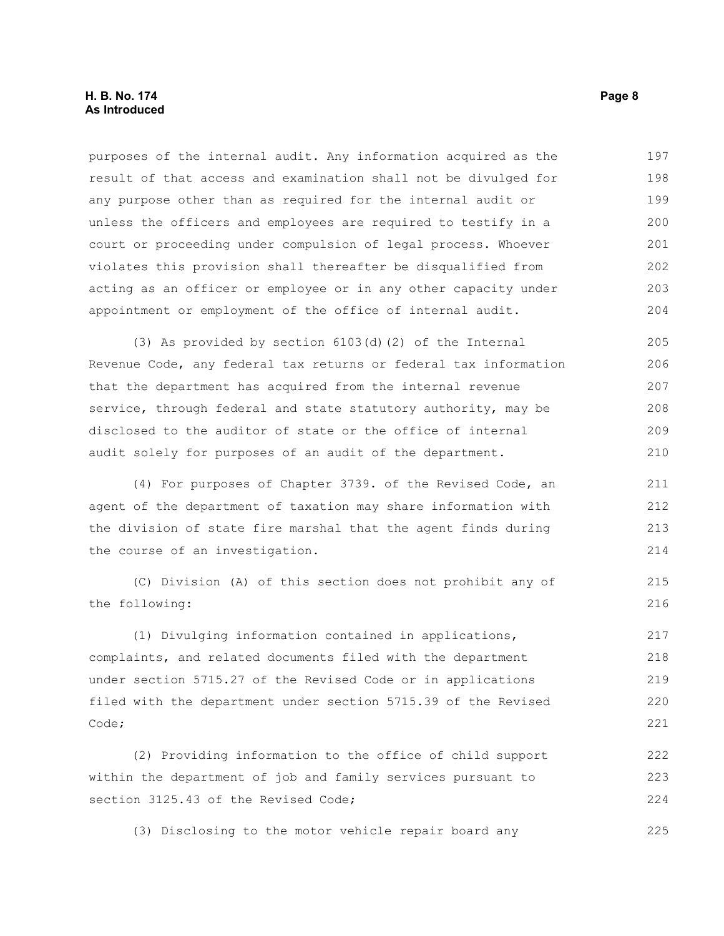purposes of the internal audit. Any information acquired as the result of that access and examination shall not be divulged for any purpose other than as required for the internal audit or unless the officers and employees are required to testify in a court or proceeding under compulsion of legal process. Whoever violates this provision shall thereafter be disqualified from acting as an officer or employee or in any other capacity under appointment or employment of the office of internal audit. 197 198 199 200 201 202 203 204

(3) As provided by section 6103(d)(2) of the Internal Revenue Code, any federal tax returns or federal tax information that the department has acquired from the internal revenue service, through federal and state statutory authority, may be disclosed to the auditor of state or the office of internal audit solely for purposes of an audit of the department. 205 206 207 208 209 210

(4) For purposes of Chapter 3739. of the Revised Code, an agent of the department of taxation may share information with the division of state fire marshal that the agent finds during the course of an investigation.

(C) Division (A) of this section does not prohibit any of the following:

(1) Divulging information contained in applications, complaints, and related documents filed with the department under section 5715.27 of the Revised Code or in applications filed with the department under section 5715.39 of the Revised Code; 217 218 219 220 221

(2) Providing information to the office of child support within the department of job and family services pursuant to section 3125.43 of the Revised Code; 222 223 224

(3) Disclosing to the motor vehicle repair board any 225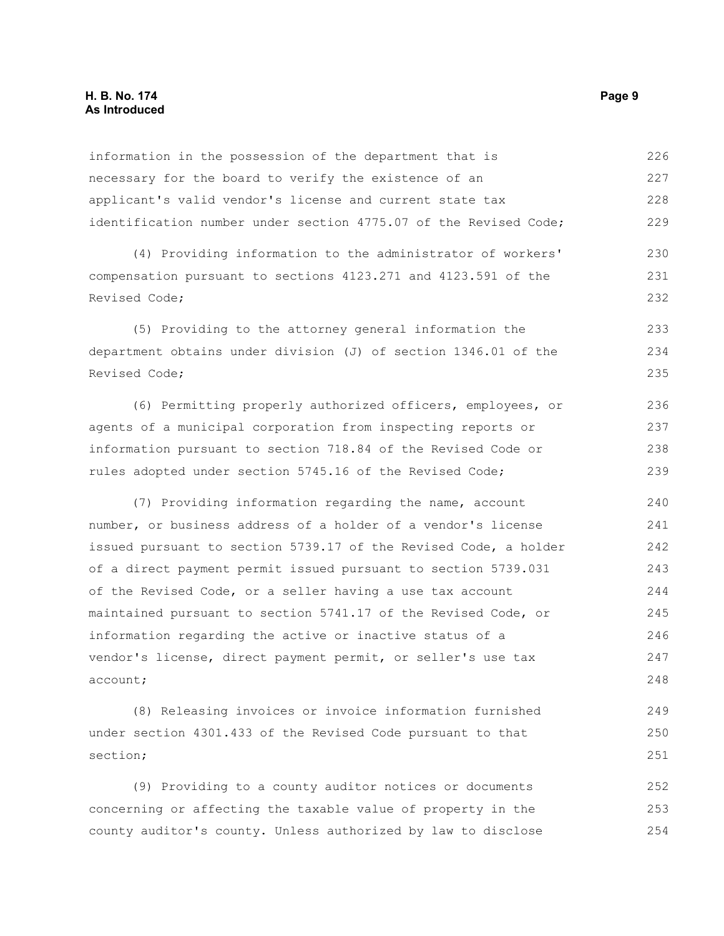#### **H. B. No. 174** Page 9 **As Introduced**

information in the possession of the department that is necessary for the board to verify the existence of an applicant's valid vendor's license and current state tax identification number under section 4775.07 of the Revised Code; (4) Providing information to the administrator of workers' compensation pursuant to sections 4123.271 and 4123.591 of the Revised Code; (5) Providing to the attorney general information the department obtains under division (J) of section 1346.01 of the Revised Code; (6) Permitting properly authorized officers, employees, or agents of a municipal corporation from inspecting reports or information pursuant to section 718.84 of the Revised Code or rules adopted under section 5745.16 of the Revised Code; (7) Providing information regarding the name, account number, or business address of a holder of a vendor's license issued pursuant to section 5739.17 of the Revised Code, a holder of a direct payment permit issued pursuant to section 5739.031 of the Revised Code, or a seller having a use tax account maintained pursuant to section 5741.17 of the Revised Code, or information regarding the active or inactive status of a vendor's license, direct payment permit, or seller's use tax account; (8) Releasing invoices or invoice information furnished 226 227 228 229 230 231 232 233 234 235 236 237 238 239 240 241 242 243 244 245 246 247 248 249

section; (9) Providing to a county auditor notices or documents concerning or affecting the taxable value of property in the county auditor's county. Unless authorized by law to disclose 252 253 254

under section 4301.433 of the Revised Code pursuant to that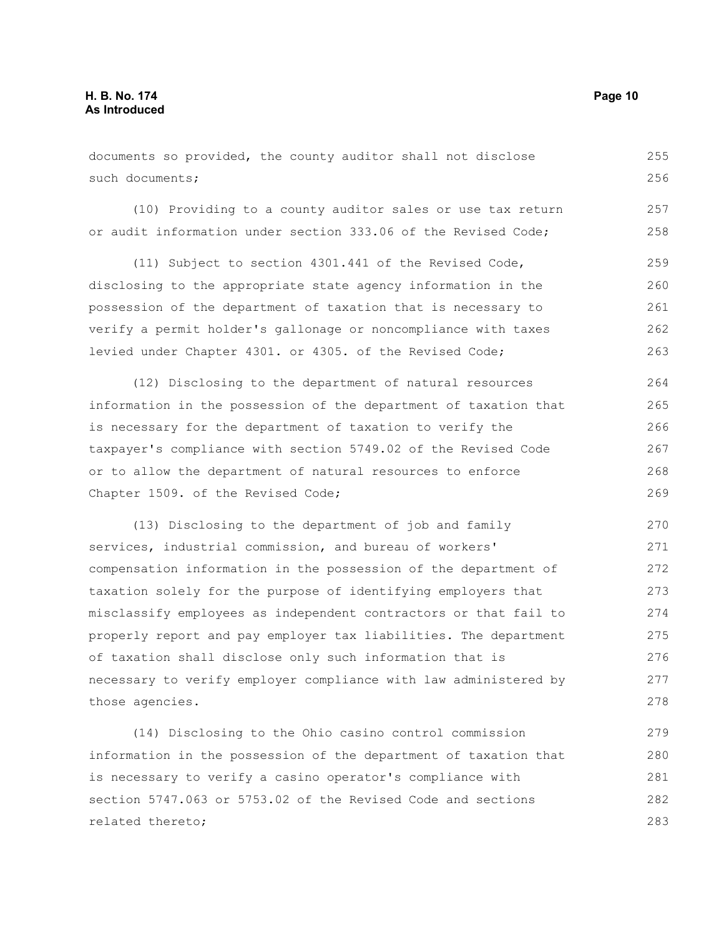documents so provided, the county auditor shall not disclose such documents; 255 256

(10) Providing to a county auditor sales or use tax return or audit information under section 333.06 of the Revised Code;

(11) Subject to section 4301.441 of the Revised Code, disclosing to the appropriate state agency information in the possession of the department of taxation that is necessary to verify a permit holder's gallonage or noncompliance with taxes levied under Chapter 4301. or 4305. of the Revised Code; 259 260 261 262 263

(12) Disclosing to the department of natural resources information in the possession of the department of taxation that is necessary for the department of taxation to verify the taxpayer's compliance with section 5749.02 of the Revised Code or to allow the department of natural resources to enforce Chapter 1509. of the Revised Code; 264 265 266 267 268 269

(13) Disclosing to the department of job and family services, industrial commission, and bureau of workers' compensation information in the possession of the department of taxation solely for the purpose of identifying employers that misclassify employees as independent contractors or that fail to properly report and pay employer tax liabilities. The department of taxation shall disclose only such information that is necessary to verify employer compliance with law administered by those agencies. 270 271 272 273 274 275 276 277 278

(14) Disclosing to the Ohio casino control commission information in the possession of the department of taxation that is necessary to verify a casino operator's compliance with section 5747.063 or 5753.02 of the Revised Code and sections related thereto; 279 280 281 282 283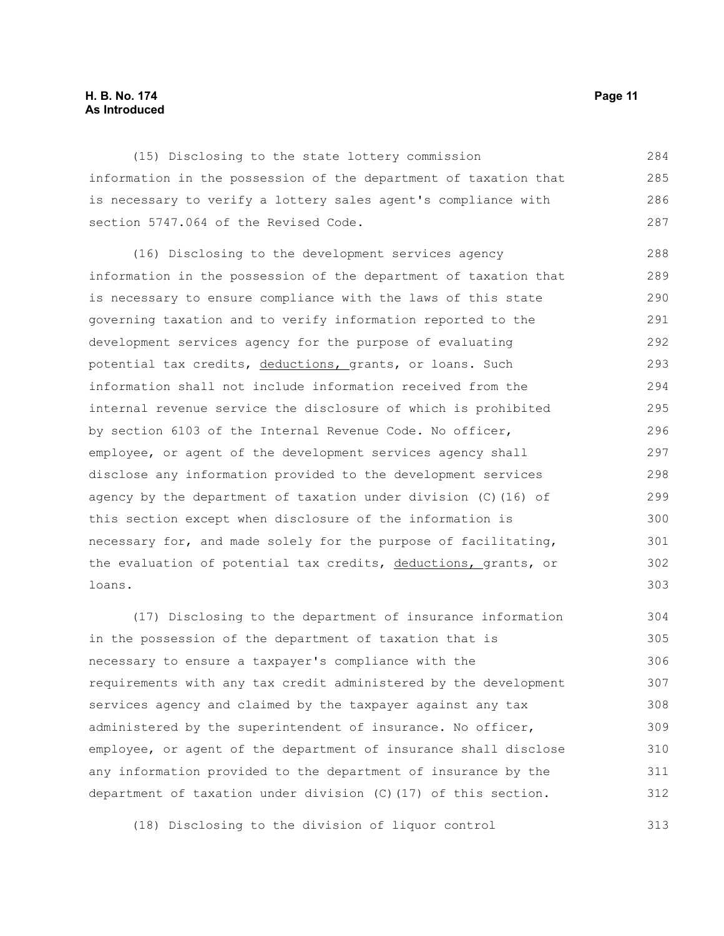#### **H. B. No. 174 Page 11 As Introduced**

(15) Disclosing to the state lottery commission information in the possession of the department of taxation that is necessary to verify a lottery sales agent's compliance with section 5747.064 of the Revised Code. 284 285 286 287

(16) Disclosing to the development services agency information in the possession of the department of taxation that is necessary to ensure compliance with the laws of this state governing taxation and to verify information reported to the development services agency for the purpose of evaluating potential tax credits, deductions, grants, or loans. Such information shall not include information received from the internal revenue service the disclosure of which is prohibited by section 6103 of the Internal Revenue Code. No officer, employee, or agent of the development services agency shall disclose any information provided to the development services agency by the department of taxation under division (C)(16) of this section except when disclosure of the information is necessary for, and made solely for the purpose of facilitating, the evaluation of potential tax credits, deductions, grants, or loans. 288 289 290 291 292 293 294 295 296 297 298 299 300 301 302 303

(17) Disclosing to the department of insurance information in the possession of the department of taxation that is necessary to ensure a taxpayer's compliance with the requirements with any tax credit administered by the development services agency and claimed by the taxpayer against any tax administered by the superintendent of insurance. No officer, employee, or agent of the department of insurance shall disclose any information provided to the department of insurance by the department of taxation under division (C)(17) of this section. 304 305 306 307 308 309 310 311 312

(18) Disclosing to the division of liquor control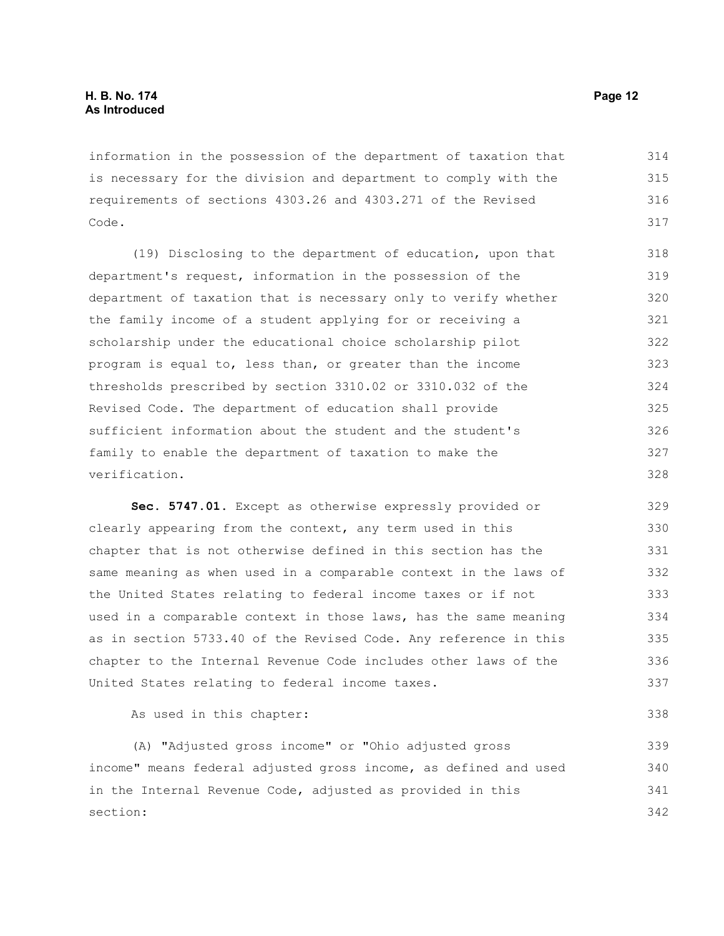information in the possession of the department of taxation that is necessary for the division and department to comply with the requirements of sections 4303.26 and 4303.271 of the Revised Code. 314 315 316 317

(19) Disclosing to the department of education, upon that department's request, information in the possession of the department of taxation that is necessary only to verify whether the family income of a student applying for or receiving a scholarship under the educational choice scholarship pilot program is equal to, less than, or greater than the income thresholds prescribed by section 3310.02 or 3310.032 of the Revised Code. The department of education shall provide sufficient information about the student and the student's family to enable the department of taxation to make the verification. 318 319 320 321 322 323 324 325 326 327 328

**Sec. 5747.01.** Except as otherwise expressly provided or clearly appearing from the context, any term used in this chapter that is not otherwise defined in this section has the same meaning as when used in a comparable context in the laws of the United States relating to federal income taxes or if not used in a comparable context in those laws, has the same meaning as in section 5733.40 of the Revised Code. Any reference in this chapter to the Internal Revenue Code includes other laws of the United States relating to federal income taxes. 329 330 331 332 333 334 335 336 337

As used in this chapter:

(A) "Adjusted gross income" or "Ohio adjusted gross income" means federal adjusted gross income, as defined and used in the Internal Revenue Code, adjusted as provided in this section: 339 340 341 342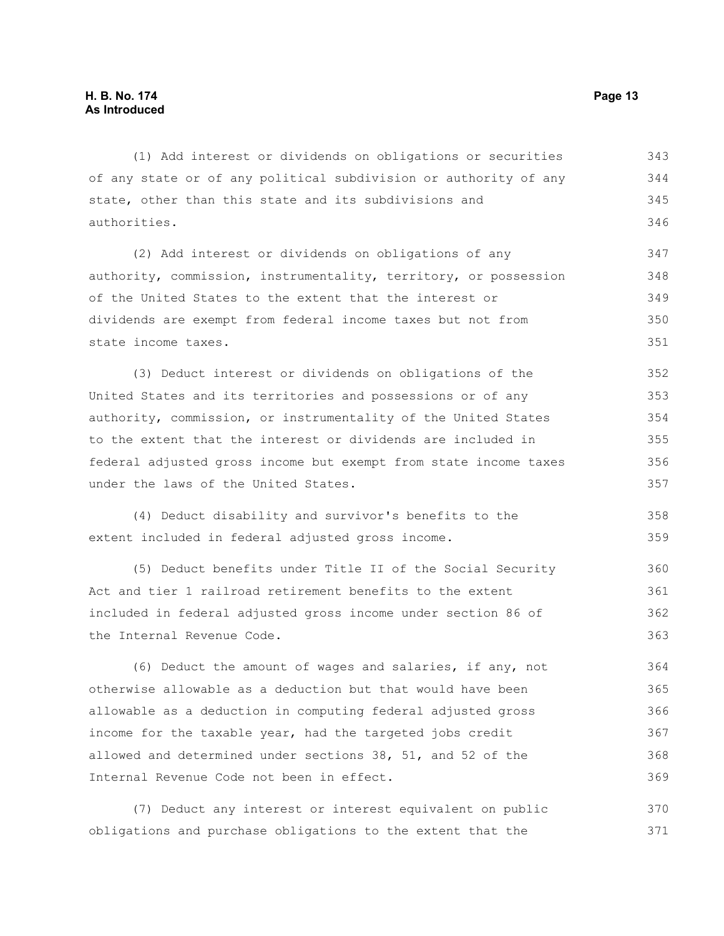(1) Add interest or dividends on obligations or securities of any state or of any political subdivision or authority of any state, other than this state and its subdivisions and authorities. 343 344 345 346

(2) Add interest or dividends on obligations of any authority, commission, instrumentality, territory, or possession of the United States to the extent that the interest or dividends are exempt from federal income taxes but not from state income taxes. 347 348 349 350 351

(3) Deduct interest or dividends on obligations of the United States and its territories and possessions or of any authority, commission, or instrumentality of the United States to the extent that the interest or dividends are included in federal adjusted gross income but exempt from state income taxes under the laws of the United States. 352 353 354 355 356 357

(4) Deduct disability and survivor's benefits to the extent included in federal adjusted gross income. 358 359

(5) Deduct benefits under Title II of the Social Security Act and tier 1 railroad retirement benefits to the extent included in federal adjusted gross income under section 86 of the Internal Revenue Code. 360 361 362 363

(6) Deduct the amount of wages and salaries, if any, not otherwise allowable as a deduction but that would have been allowable as a deduction in computing federal adjusted gross income for the taxable year, had the targeted jobs credit allowed and determined under sections 38, 51, and 52 of the Internal Revenue Code not been in effect. 364 365 366 367 368 369

(7) Deduct any interest or interest equivalent on public obligations and purchase obligations to the extent that the 370 371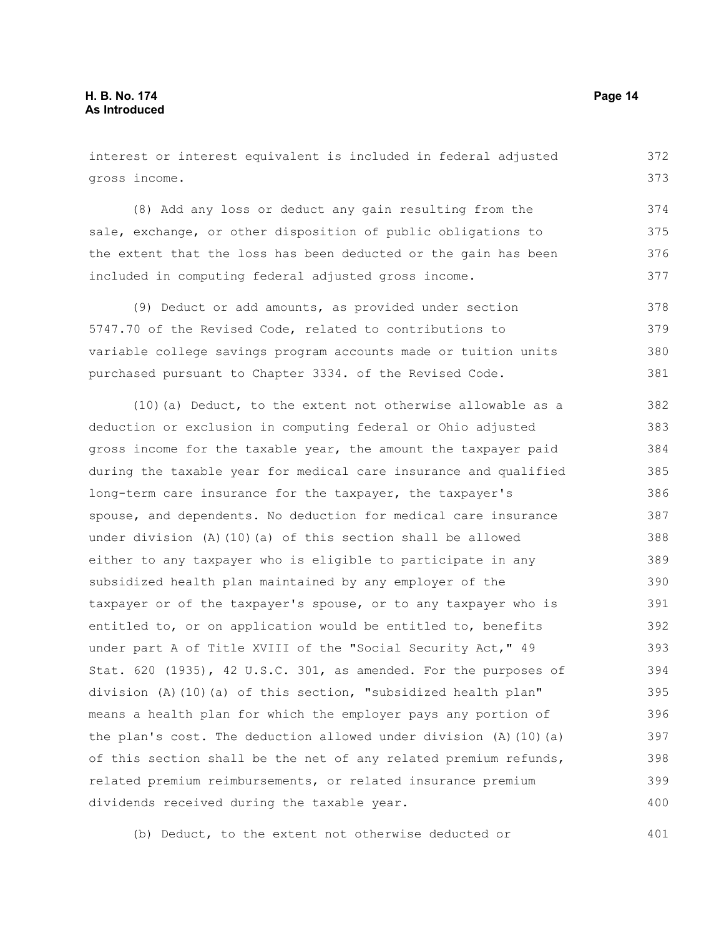interest or interest equivalent is included in federal adjusted gross income.

(8) Add any loss or deduct any gain resulting from the sale, exchange, or other disposition of public obligations to the extent that the loss has been deducted or the gain has been included in computing federal adjusted gross income. 374 375 376 377

(9) Deduct or add amounts, as provided under section 5747.70 of the Revised Code, related to contributions to variable college savings program accounts made or tuition units purchased pursuant to Chapter 3334. of the Revised Code. 378 379 380 381

(10)(a) Deduct, to the extent not otherwise allowable as a deduction or exclusion in computing federal or Ohio adjusted gross income for the taxable year, the amount the taxpayer paid during the taxable year for medical care insurance and qualified long-term care insurance for the taxpayer, the taxpayer's spouse, and dependents. No deduction for medical care insurance under division  $(A)$  (10)(a) of this section shall be allowed either to any taxpayer who is eligible to participate in any subsidized health plan maintained by any employer of the taxpayer or of the taxpayer's spouse, or to any taxpayer who is entitled to, or on application would be entitled to, benefits under part A of Title XVIII of the "Social Security Act," 49 Stat. 620 (1935), 42 U.S.C. 301, as amended. For the purposes of division (A)(10)(a) of this section, "subsidized health plan" means a health plan for which the employer pays any portion of the plan's cost. The deduction allowed under division  $(A)$  (10)(a) of this section shall be the net of any related premium refunds, related premium reimbursements, or related insurance premium dividends received during the taxable year. 382 383 384 385 386 387 388 389 390 391 392 393 394 395 396 397 398 399 400

(b) Deduct, to the extent not otherwise deducted or 401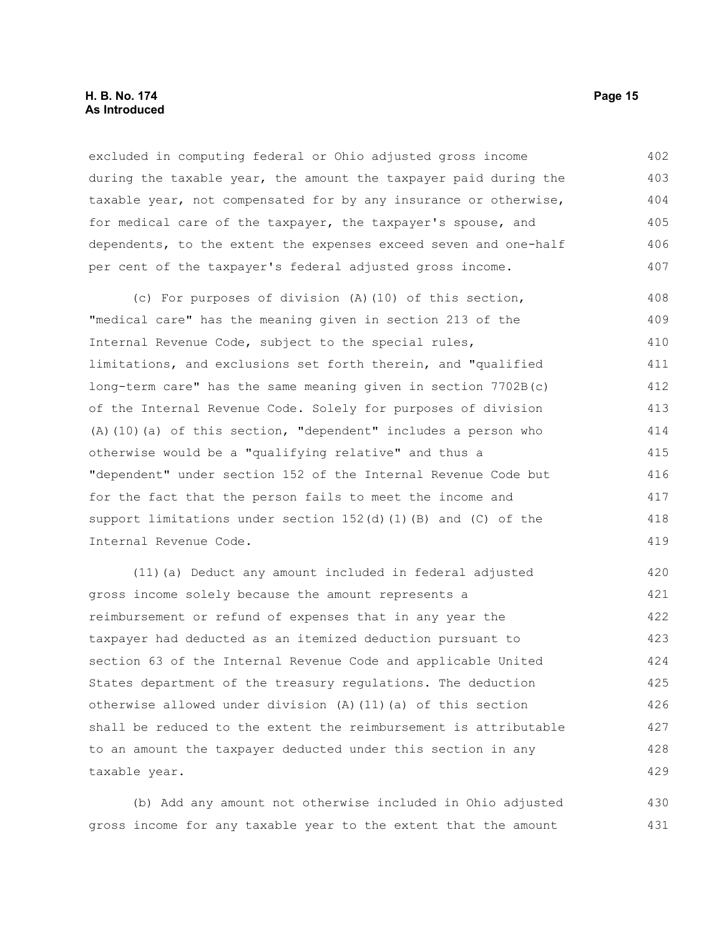#### **H. B. No. 174 Page 15 As Introduced**

excluded in computing federal or Ohio adjusted gross income during the taxable year, the amount the taxpayer paid during the taxable year, not compensated for by any insurance or otherwise, for medical care of the taxpayer, the taxpayer's spouse, and dependents, to the extent the expenses exceed seven and one-half per cent of the taxpayer's federal adjusted gross income. 402 403 404 405 406 407

(c) For purposes of division (A)(10) of this section, "medical care" has the meaning given in section 213 of the Internal Revenue Code, subject to the special rules, limitations, and exclusions set forth therein, and "qualified long-term care" has the same meaning given in section 7702B(c) of the Internal Revenue Code. Solely for purposes of division (A)(10)(a) of this section, "dependent" includes a person who otherwise would be a "qualifying relative" and thus a "dependent" under section 152 of the Internal Revenue Code but for the fact that the person fails to meet the income and support limitations under section 152(d)(1)(B) and (C) of the Internal Revenue Code. 408 409 410 411 412 413 414 415 416 417 418 419

(11)(a) Deduct any amount included in federal adjusted gross income solely because the amount represents a reimbursement or refund of expenses that in any year the taxpayer had deducted as an itemized deduction pursuant to section 63 of the Internal Revenue Code and applicable United States department of the treasury regulations. The deduction otherwise allowed under division (A)(11)(a) of this section shall be reduced to the extent the reimbursement is attributable to an amount the taxpayer deducted under this section in any taxable year. 420 421 422 423 424 425 426 427 428 429

(b) Add any amount not otherwise included in Ohio adjusted gross income for any taxable year to the extent that the amount 430 431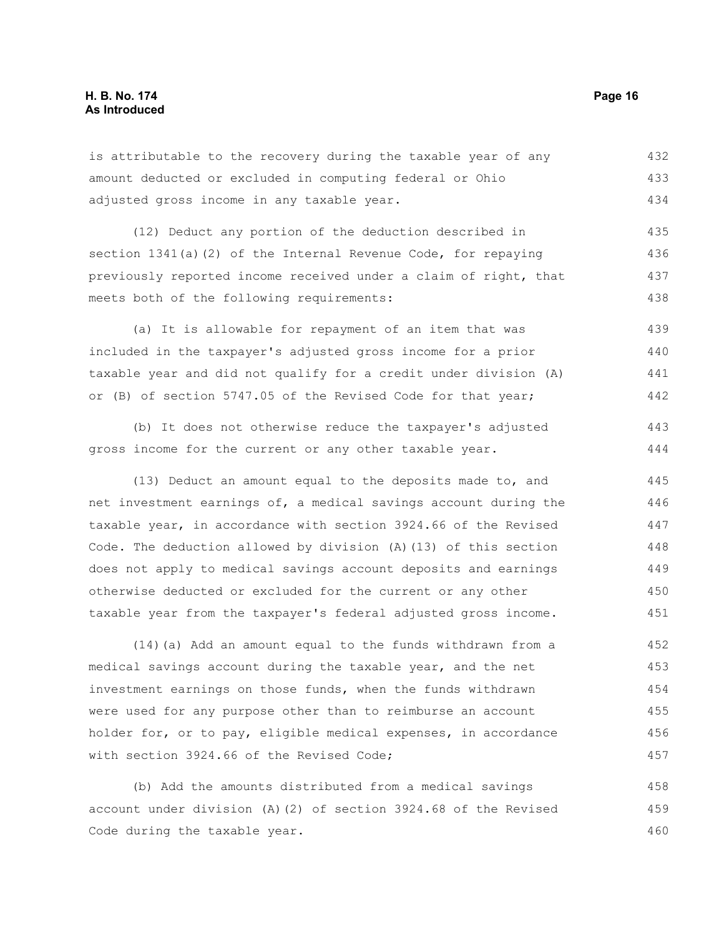is attributable to the recovery during the taxable year of any amount deducted or excluded in computing federal or Ohio adjusted gross income in any taxable year. 432 433 434

(12) Deduct any portion of the deduction described in section 1341(a)(2) of the Internal Revenue Code, for repaying previously reported income received under a claim of right, that meets both of the following requirements: 435 436 437 438

(a) It is allowable for repayment of an item that was included in the taxpayer's adjusted gross income for a prior taxable year and did not qualify for a credit under division (A) or (B) of section 5747.05 of the Revised Code for that year; 439 440 441 442

(b) It does not otherwise reduce the taxpayer's adjusted gross income for the current or any other taxable year. 443 444

(13) Deduct an amount equal to the deposits made to, and net investment earnings of, a medical savings account during the taxable year, in accordance with section 3924.66 of the Revised Code. The deduction allowed by division (A)(13) of this section does not apply to medical savings account deposits and earnings otherwise deducted or excluded for the current or any other taxable year from the taxpayer's federal adjusted gross income. 445 446 447 448 449 450 451

(14)(a) Add an amount equal to the funds withdrawn from a medical savings account during the taxable year, and the net investment earnings on those funds, when the funds withdrawn were used for any purpose other than to reimburse an account holder for, or to pay, eligible medical expenses, in accordance with section 3924.66 of the Revised Code; 452 453 454 455 456 457

(b) Add the amounts distributed from a medical savings account under division (A)(2) of section 3924.68 of the Revised Code during the taxable year. 458 459 460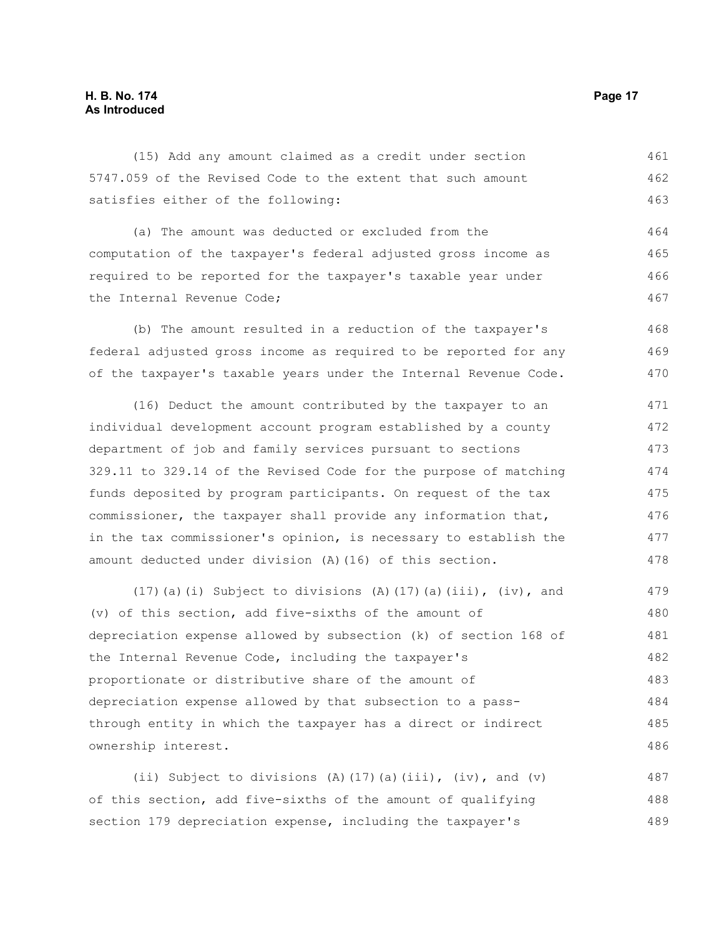(15) Add any amount claimed as a credit under section 5747.059 of the Revised Code to the extent that such amount satisfies either of the following: 461 462 463

(a) The amount was deducted or excluded from the computation of the taxpayer's federal adjusted gross income as required to be reported for the taxpayer's taxable year under the Internal Revenue Code; 464 465 466 467

(b) The amount resulted in a reduction of the taxpayer's federal adjusted gross income as required to be reported for any of the taxpayer's taxable years under the Internal Revenue Code. 468 469 470

(16) Deduct the amount contributed by the taxpayer to an individual development account program established by a county department of job and family services pursuant to sections 329.11 to 329.14 of the Revised Code for the purpose of matching funds deposited by program participants. On request of the tax commissioner, the taxpayer shall provide any information that, in the tax commissioner's opinion, is necessary to establish the amount deducted under division (A)(16) of this section. 471 472 473 474 475 476 477 478

(17)(a)(i) Subject to divisions (A)(17)(a)(iii), (iv), and (v) of this section, add five-sixths of the amount of depreciation expense allowed by subsection (k) of section 168 of the Internal Revenue Code, including the taxpayer's proportionate or distributive share of the amount of depreciation expense allowed by that subsection to a passthrough entity in which the taxpayer has a direct or indirect ownership interest. 479 480 481 482 483 484 485 486

(ii) Subject to divisions (A)(17)(a)(iii), (iv), and (v) of this section, add five-sixths of the amount of qualifying section 179 depreciation expense, including the taxpayer's 487 488 489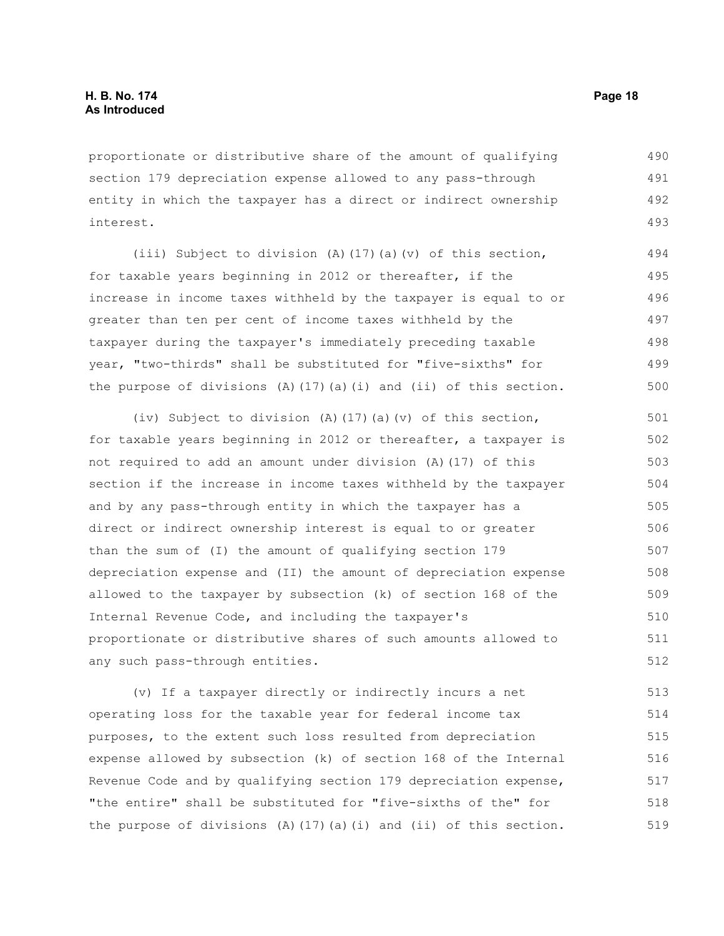proportionate or distributive share of the amount of qualifying section 179 depreciation expense allowed to any pass-through entity in which the taxpayer has a direct or indirect ownership interest. 490 491 492 493

(iii) Subject to division (A)(17)(a)(v) of this section, for taxable years beginning in 2012 or thereafter, if the increase in income taxes withheld by the taxpayer is equal to or greater than ten per cent of income taxes withheld by the taxpayer during the taxpayer's immediately preceding taxable year, "two-thirds" shall be substituted for "five-sixths" for the purpose of divisions  $(A)$  (17)(a)(i) and (ii) of this section. 494 495 496 497 498 499 500

(iv) Subject to division (A)(17)(a)(v) of this section, for taxable years beginning in 2012 or thereafter, a taxpayer is not required to add an amount under division (A)(17) of this section if the increase in income taxes withheld by the taxpayer and by any pass-through entity in which the taxpayer has a direct or indirect ownership interest is equal to or greater than the sum of (I) the amount of qualifying section 179 depreciation expense and (II) the amount of depreciation expense allowed to the taxpayer by subsection (k) of section 168 of the Internal Revenue Code, and including the taxpayer's proportionate or distributive shares of such amounts allowed to any such pass-through entities. 501 502 503 504 505 506 507 508 509 510 511 512

(v) If a taxpayer directly or indirectly incurs a net operating loss for the taxable year for federal income tax purposes, to the extent such loss resulted from depreciation expense allowed by subsection (k) of section 168 of the Internal Revenue Code and by qualifying section 179 depreciation expense, "the entire" shall be substituted for "five-sixths of the" for the purpose of divisions  $(A)$  (17)(a)(i) and (ii) of this section. 513 514 515 516 517 518 519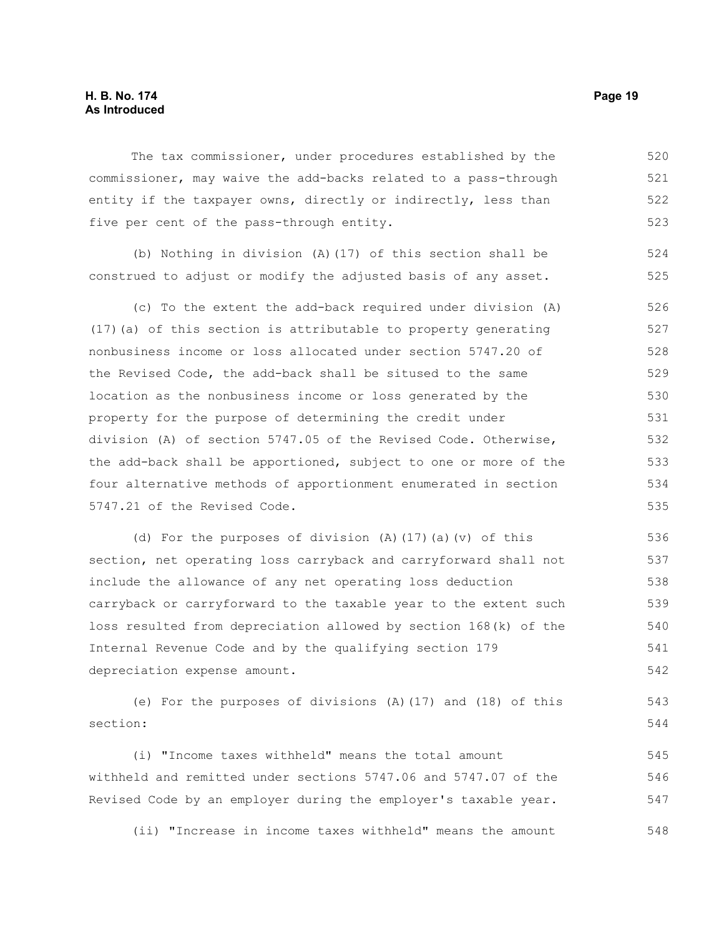#### **H. B. No. 174 Page 19 As Introduced**

The tax commissioner, under procedures established by the commissioner, may waive the add-backs related to a pass-through entity if the taxpayer owns, directly or indirectly, less than five per cent of the pass-through entity. 520 521 522 523

(b) Nothing in division (A)(17) of this section shall be construed to adjust or modify the adjusted basis of any asset. 524 525

(c) To the extent the add-back required under division (A) (17)(a) of this section is attributable to property generating nonbusiness income or loss allocated under section 5747.20 of the Revised Code, the add-back shall be sitused to the same location as the nonbusiness income or loss generated by the property for the purpose of determining the credit under division (A) of section 5747.05 of the Revised Code. Otherwise, the add-back shall be apportioned, subject to one or more of the four alternative methods of apportionment enumerated in section 5747.21 of the Revised Code. 526 527 528 529 530 531 532 533 534 535

(d) For the purposes of division (A)(17)(a)(v) of this section, net operating loss carryback and carryforward shall not include the allowance of any net operating loss deduction carryback or carryforward to the taxable year to the extent such loss resulted from depreciation allowed by section 168(k) of the Internal Revenue Code and by the qualifying section 179 depreciation expense amount.

(e) For the purposes of divisions (A)(17) and (18) of this section: 543 544

(i) "Income taxes withheld" means the total amount withheld and remitted under sections 5747.06 and 5747.07 of the Revised Code by an employer during the employer's taxable year. 545 546 547

(ii) "Increase in income taxes withheld" means the amount 548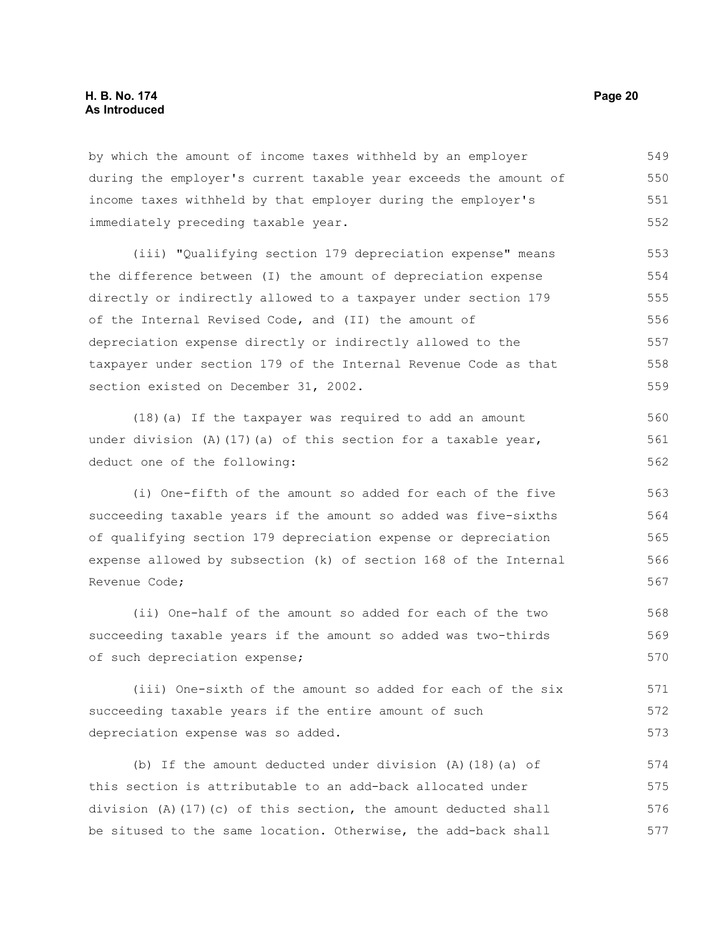by which the amount of income taxes withheld by an employer during the employer's current taxable year exceeds the amount of income taxes withheld by that employer during the employer's immediately preceding taxable year. 549 550 551 552

(iii) "Qualifying section 179 depreciation expense" means the difference between (I) the amount of depreciation expense directly or indirectly allowed to a taxpayer under section 179 of the Internal Revised Code, and (II) the amount of depreciation expense directly or indirectly allowed to the taxpayer under section 179 of the Internal Revenue Code as that section existed on December 31, 2002. 553 554 555 556 557 558 559

(18)(a) If the taxpayer was required to add an amount under division  $(A)$  (17)(a) of this section for a taxable year, deduct one of the following:

(i) One-fifth of the amount so added for each of the five succeeding taxable years if the amount so added was five-sixths of qualifying section 179 depreciation expense or depreciation expense allowed by subsection (k) of section 168 of the Internal Revenue Code;

(ii) One-half of the amount so added for each of the two succeeding taxable years if the amount so added was two-thirds of such depreciation expense; 568 569 570

(iii) One-sixth of the amount so added for each of the six succeeding taxable years if the entire amount of such depreciation expense was so added. 571 572 573

(b) If the amount deducted under division (A)(18)(a) of this section is attributable to an add-back allocated under division (A)(17)(c) of this section, the amount deducted shall be sitused to the same location. Otherwise, the add-back shall 574 575 576 577

560 561 562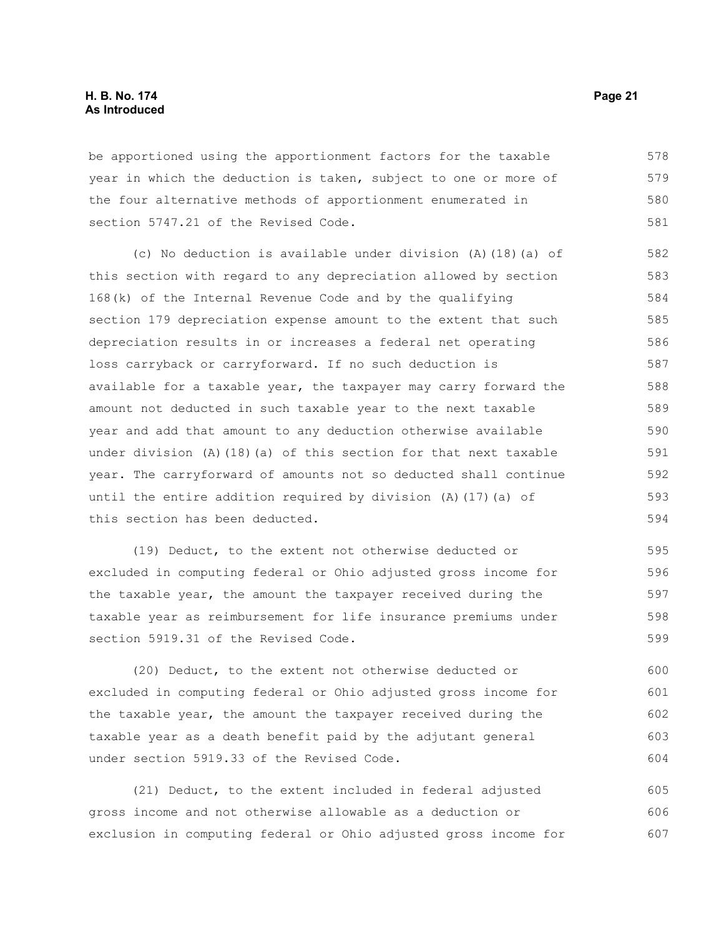#### **H. B. No. 174 Page 21 As Introduced**

be apportioned using the apportionment factors for the taxable year in which the deduction is taken, subject to one or more of the four alternative methods of apportionment enumerated in section 5747.21 of the Revised Code. 578 579 580 581

(c) No deduction is available under division (A)(18)(a) of this section with regard to any depreciation allowed by section 168(k) of the Internal Revenue Code and by the qualifying section 179 depreciation expense amount to the extent that such depreciation results in or increases a federal net operating loss carryback or carryforward. If no such deduction is available for a taxable year, the taxpayer may carry forward the amount not deducted in such taxable year to the next taxable year and add that amount to any deduction otherwise available under division  $(A)$  (18)(a) of this section for that next taxable year. The carryforward of amounts not so deducted shall continue until the entire addition required by division (A)(17)(a) of this section has been deducted. 582 583 584 585 586 587 588 589 590 591 592 593 594

(19) Deduct, to the extent not otherwise deducted or excluded in computing federal or Ohio adjusted gross income for the taxable year, the amount the taxpayer received during the taxable year as reimbursement for life insurance premiums under section 5919.31 of the Revised Code. 595 596 597 598 599

(20) Deduct, to the extent not otherwise deducted or excluded in computing federal or Ohio adjusted gross income for the taxable year, the amount the taxpayer received during the taxable year as a death benefit paid by the adjutant general under section 5919.33 of the Revised Code. 600 601 602 603 604

(21) Deduct, to the extent included in federal adjusted gross income and not otherwise allowable as a deduction or exclusion in computing federal or Ohio adjusted gross income for 605 606 607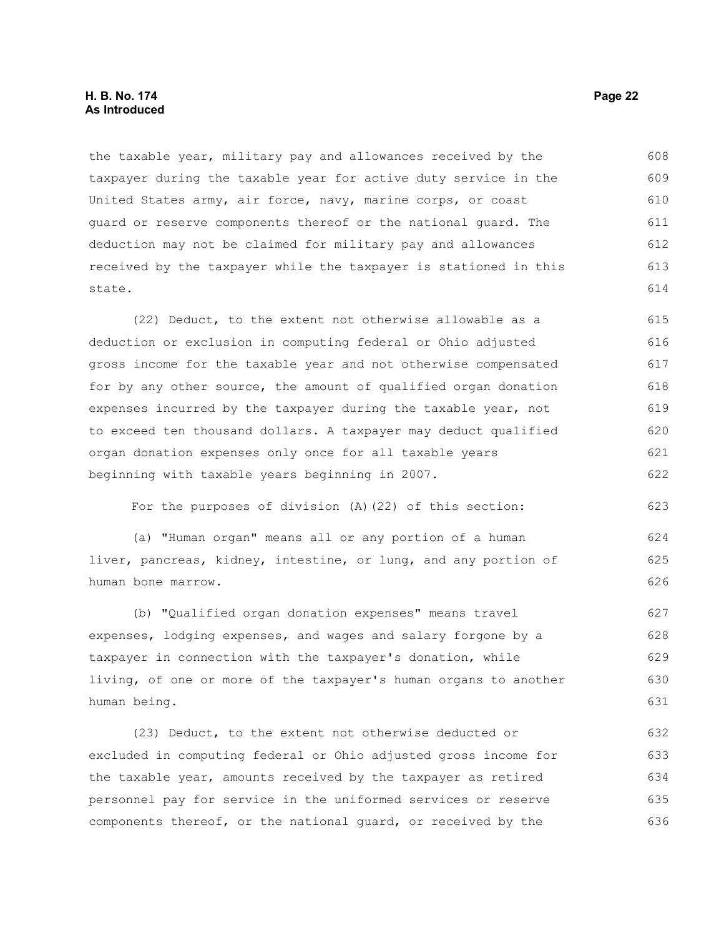#### **H. B. No. 174 Page 22 As Introduced**

the taxable year, military pay and allowances received by the taxpayer during the taxable year for active duty service in the United States army, air force, navy, marine corps, or coast guard or reserve components thereof or the national guard. The deduction may not be claimed for military pay and allowances received by the taxpayer while the taxpayer is stationed in this state. 608 609 610 611 612 613 614

(22) Deduct, to the extent not otherwise allowable as a deduction or exclusion in computing federal or Ohio adjusted gross income for the taxable year and not otherwise compensated for by any other source, the amount of qualified organ donation expenses incurred by the taxpayer during the taxable year, not to exceed ten thousand dollars. A taxpayer may deduct qualified organ donation expenses only once for all taxable years beginning with taxable years beginning in 2007. 615 616 617 618 619 620 621 622

For the purposes of division (A)(22) of this section:

(a) "Human organ" means all or any portion of a human liver, pancreas, kidney, intestine, or lung, and any portion of human bone marrow.

(b) "Qualified organ donation expenses" means travel expenses, lodging expenses, and wages and salary forgone by a taxpayer in connection with the taxpayer's donation, while living, of one or more of the taxpayer's human organs to another human being. 627 628 629 630 631

(23) Deduct, to the extent not otherwise deducted or excluded in computing federal or Ohio adjusted gross income for the taxable year, amounts received by the taxpayer as retired personnel pay for service in the uniformed services or reserve components thereof, or the national guard, or received by the 632 633 634 635 636

623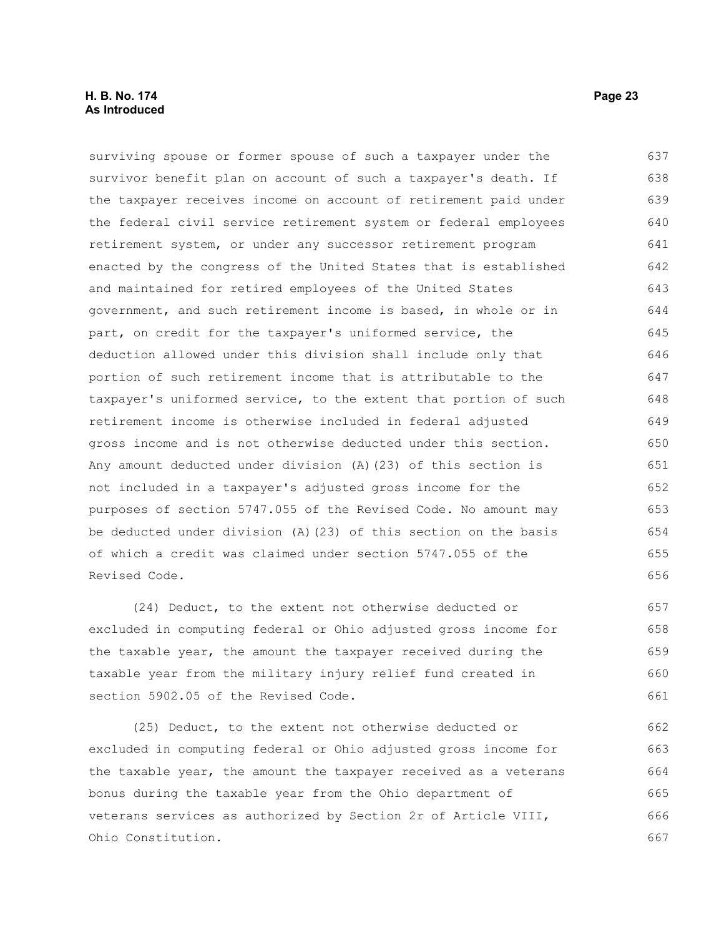#### **H. B. No. 174 Page 23 As Introduced**

surviving spouse or former spouse of such a taxpayer under the survivor benefit plan on account of such a taxpayer's death. If the taxpayer receives income on account of retirement paid under the federal civil service retirement system or federal employees retirement system, or under any successor retirement program enacted by the congress of the United States that is established and maintained for retired employees of the United States government, and such retirement income is based, in whole or in part, on credit for the taxpayer's uniformed service, the deduction allowed under this division shall include only that portion of such retirement income that is attributable to the taxpayer's uniformed service, to the extent that portion of such retirement income is otherwise included in federal adjusted gross income and is not otherwise deducted under this section. Any amount deducted under division (A)(23) of this section is not included in a taxpayer's adjusted gross income for the purposes of section 5747.055 of the Revised Code. No amount may be deducted under division (A)(23) of this section on the basis of which a credit was claimed under section 5747.055 of the Revised Code. 637 638 639 640 641 642 643 644 645 646 647 648 649 650 651 652 653 654 655 656

(24) Deduct, to the extent not otherwise deducted or excluded in computing federal or Ohio adjusted gross income for the taxable year, the amount the taxpayer received during the taxable year from the military injury relief fund created in section 5902.05 of the Revised Code. 657 658 659 660 661

(25) Deduct, to the extent not otherwise deducted or excluded in computing federal or Ohio adjusted gross income for the taxable year, the amount the taxpayer received as a veterans bonus during the taxable year from the Ohio department of veterans services as authorized by Section 2r of Article VIII, Ohio Constitution. 662 663 664 665 666 667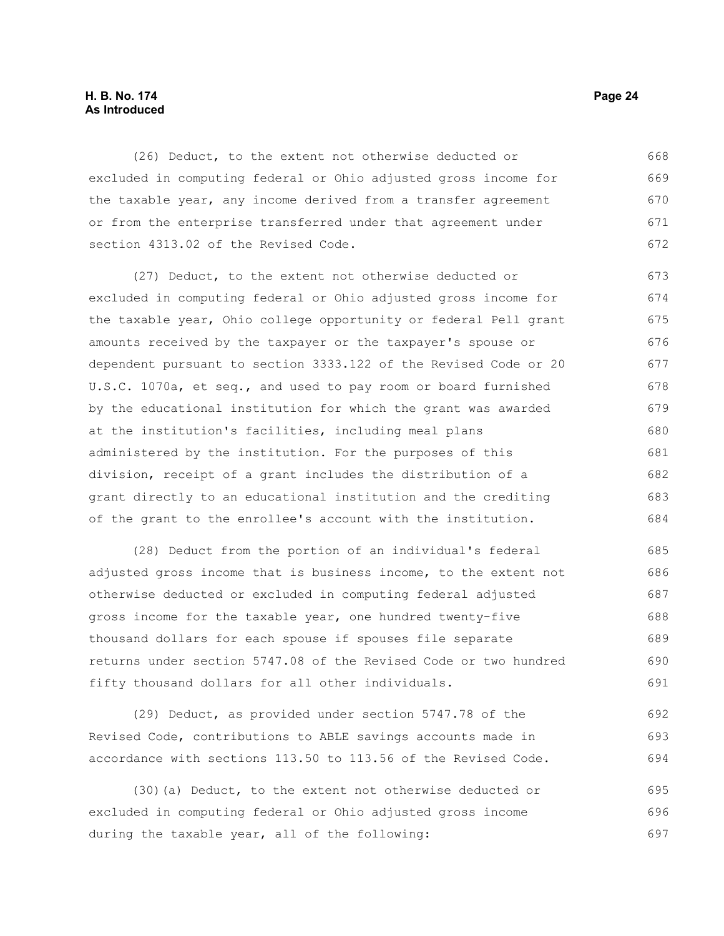#### **H. B. No. 174 Page 24 As Introduced**

(26) Deduct, to the extent not otherwise deducted or excluded in computing federal or Ohio adjusted gross income for the taxable year, any income derived from a transfer agreement or from the enterprise transferred under that agreement under section 4313.02 of the Revised Code. 668 669 670 671 672

(27) Deduct, to the extent not otherwise deducted or excluded in computing federal or Ohio adjusted gross income for the taxable year, Ohio college opportunity or federal Pell grant amounts received by the taxpayer or the taxpayer's spouse or dependent pursuant to section 3333.122 of the Revised Code or 20 U.S.C. 1070a, et seq., and used to pay room or board furnished by the educational institution for which the grant was awarded at the institution's facilities, including meal plans administered by the institution. For the purposes of this division, receipt of a grant includes the distribution of a grant directly to an educational institution and the crediting of the grant to the enrollee's account with the institution. 673 674 675 676 677 678 679 680 681 682 683 684

(28) Deduct from the portion of an individual's federal adjusted gross income that is business income, to the extent not otherwise deducted or excluded in computing federal adjusted gross income for the taxable year, one hundred twenty-five thousand dollars for each spouse if spouses file separate returns under section 5747.08 of the Revised Code or two hundred fifty thousand dollars for all other individuals. 685 686 687 688 689 690 691

(29) Deduct, as provided under section 5747.78 of the Revised Code, contributions to ABLE savings accounts made in accordance with sections 113.50 to 113.56 of the Revised Code. 692 693 694

(30)(a) Deduct, to the extent not otherwise deducted or excluded in computing federal or Ohio adjusted gross income during the taxable year, all of the following: 695 696 697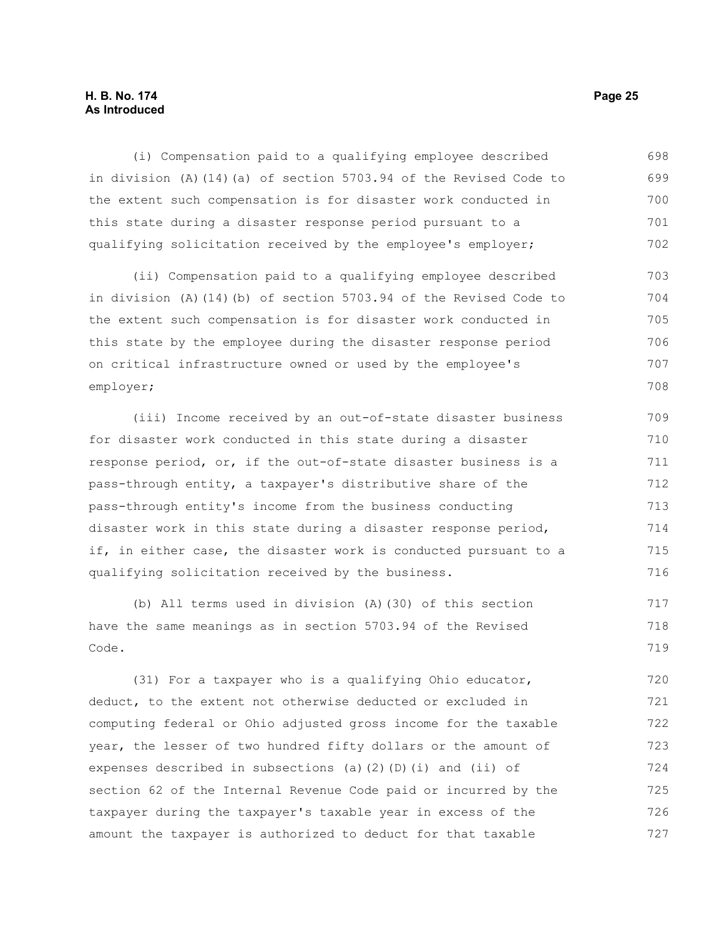#### **H. B. No. 174 Page 25 As Introduced**

(i) Compensation paid to a qualifying employee described in division (A)(14)(a) of section 5703.94 of the Revised Code to the extent such compensation is for disaster work conducted in this state during a disaster response period pursuant to a qualifying solicitation received by the employee's employer; 698 699 700 701 702

(ii) Compensation paid to a qualifying employee described in division (A)(14)(b) of section 5703.94 of the Revised Code to the extent such compensation is for disaster work conducted in this state by the employee during the disaster response period on critical infrastructure owned or used by the employee's employer; 703 704 705 706 707 708

(iii) Income received by an out-of-state disaster business for disaster work conducted in this state during a disaster response period, or, if the out-of-state disaster business is a pass-through entity, a taxpayer's distributive share of the pass-through entity's income from the business conducting disaster work in this state during a disaster response period, if, in either case, the disaster work is conducted pursuant to a qualifying solicitation received by the business. 709 710 711 712 713 714 715 716

(b) All terms used in division (A)(30) of this section have the same meanings as in section 5703.94 of the Revised Code. 717 718 719

(31) For a taxpayer who is a qualifying Ohio educator, deduct, to the extent not otherwise deducted or excluded in computing federal or Ohio adjusted gross income for the taxable year, the lesser of two hundred fifty dollars or the amount of expenses described in subsections (a)(2)(D)(i) and (ii) of section 62 of the Internal Revenue Code paid or incurred by the taxpayer during the taxpayer's taxable year in excess of the amount the taxpayer is authorized to deduct for that taxable 720 721 722 723 724 725 726 727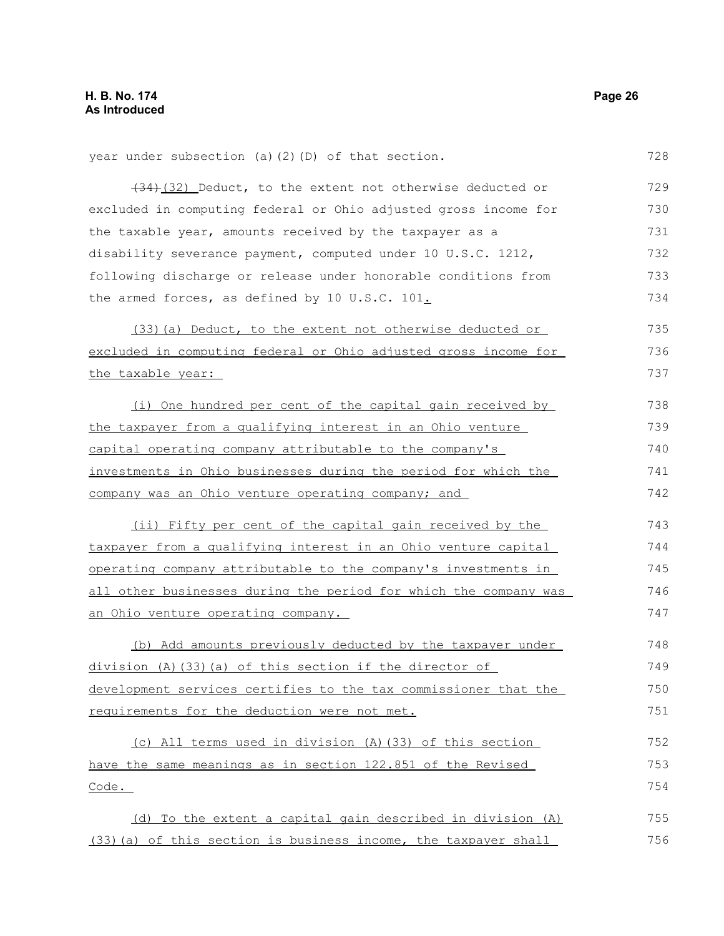| year under subsection (a) (2) (D) of that section.               | 728 |
|------------------------------------------------------------------|-----|
| $(34)$ (32) Deduct, to the extent not otherwise deducted or      | 729 |
| excluded in computing federal or Ohio adjusted gross income for  | 730 |
| the taxable year, amounts received by the taxpayer as a          | 731 |
| disability severance payment, computed under 10 U.S.C. 1212,     | 732 |
| following discharge or release under honorable conditions from   | 733 |
| the armed forces, as defined by 10 U.S.C. 101.                   | 734 |
| (33) (a) Deduct, to the extent not otherwise deducted or         | 735 |
| excluded in computing federal or Ohio adjusted gross income for  | 736 |
| the taxable year:                                                | 737 |
| (i) One hundred per cent of the capital gain received by         | 738 |
| the taxpayer from a qualifying interest in an Ohio venture       | 739 |
| capital operating company attributable to the company's          | 740 |
| investments in Ohio businesses during the period for which the   | 741 |
| company was an Ohio venture operating company; and               | 742 |
| (ii) Fifty per cent of the capital gain received by the          | 743 |
| taxpayer from a qualifying interest in an Ohio venture capital   | 744 |
| operating company attributable to the company's investments in   | 745 |
| all other businesses during the period for which the company was | 746 |
| an Ohio venture operating company.                               | 747 |
| (b) Add amounts previously deducted by the taxpayer under        | 748 |
| division (A) (33) (a) of this section if the director of         | 749 |
| development services certifies to the tax commissioner that the  | 750 |
| requirements for the deduction were not met.                     | 751 |
| (c) All terms used in division (A) (33) of this section          | 752 |
| have the same meanings as in section 122.851 of the Revised      | 753 |
| $\frac{\text{Code}}{\text{.}}$                                   | 754 |
| (d) To the extent a capital gain described in division (A)       | 755 |
| (33) (a) of this section is business income, the taxpayer shall  | 756 |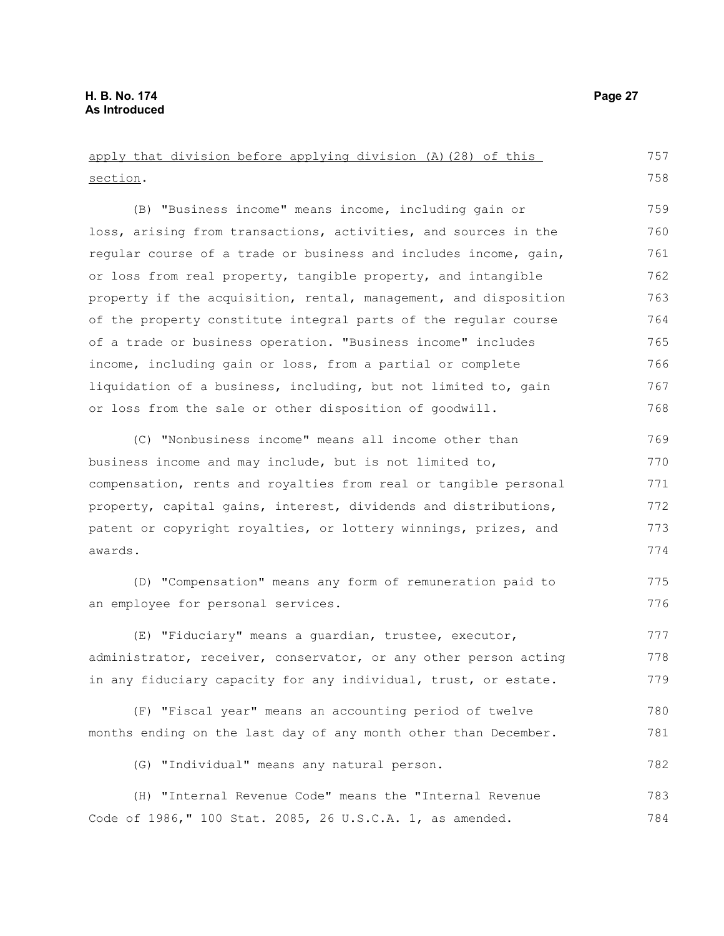apply that division before applying division (A)(28) of this section. (B) "Business income" means income, including gain or loss, arising from transactions, activities, and sources in the regular course of a trade or business and includes income, gain, or loss from real property, tangible property, and intangible property if the acquisition, rental, management, and disposition of the property constitute integral parts of the regular course of a trade or business operation. "Business income" includes income, including gain or loss, from a partial or complete liquidation of a business, including, but not limited to, gain or loss from the sale or other disposition of goodwill. (C) "Nonbusiness income" means all income other than business income and may include, but is not limited to, compensation, rents and royalties from real or tangible personal property, capital gains, interest, dividends and distributions, patent or copyright royalties, or lottery winnings, prizes, and awards. (D) "Compensation" means any form of remuneration paid to an employee for personal services. (E) "Fiduciary" means a guardian, trustee, executor, administrator, receiver, conservator, or any other person acting in any fiduciary capacity for any individual, trust, or estate. (F) "Fiscal year" means an accounting period of twelve months ending on the last day of any month other than December. (G) "Individual" means any natural person. (H) "Internal Revenue Code" means the "Internal Revenue Code of 1986," 100 Stat. 2085, 26 U.S.C.A. 1, as amended. 757 758 759 760 761 762 763 764 765 766 767 768 769 770 771 772 773 774 775 776 777 778 779 780 781 782 783 784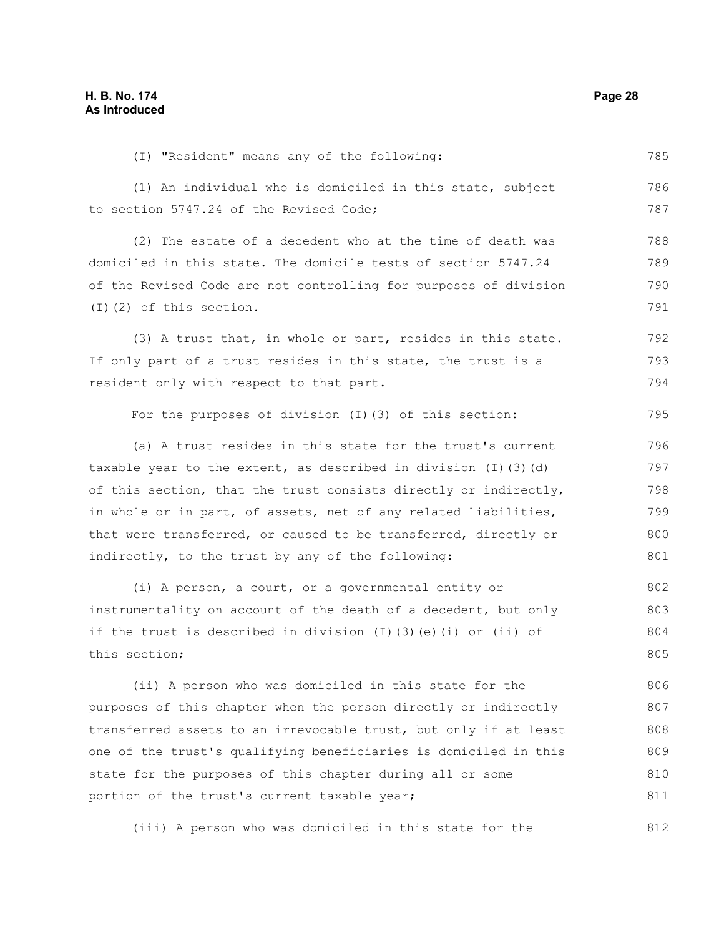(I) "Resident" means any of the following: (1) An individual who is domiciled in this state, subject to section 5747.24 of the Revised Code; (2) The estate of a decedent who at the time of death was domiciled in this state. The domicile tests of section 5747.24 of the Revised Code are not controlling for purposes of division (I)(2) of this section. (3) A trust that, in whole or part, resides in this state. If only part of a trust resides in this state, the trust is a resident only with respect to that part. For the purposes of division (I)(3) of this section: (a) A trust resides in this state for the trust's current taxable year to the extent, as described in division (I)(3)(d) of this section, that the trust consists directly or indirectly, in whole or in part, of assets, net of any related liabilities, that were transferred, or caused to be transferred, directly or indirectly, to the trust by any of the following: (i) A person, a court, or a governmental entity or instrumentality on account of the death of a decedent, but only if the trust is described in division (I)(3)(e)(i) or (ii) of this section; (ii) A person who was domiciled in this state for the purposes of this chapter when the person directly or indirectly transferred assets to an irrevocable trust, but only if at least one of the trust's qualifying beneficiaries is domiciled in this state for the purposes of this chapter during all or some portion of the trust's current taxable year; 785 786 787 788 789 790 791 792 793 794 795 796 797 798 799 800 801 802 803 804 805 806 807 808 809 810 811

(iii) A person who was domiciled in this state for the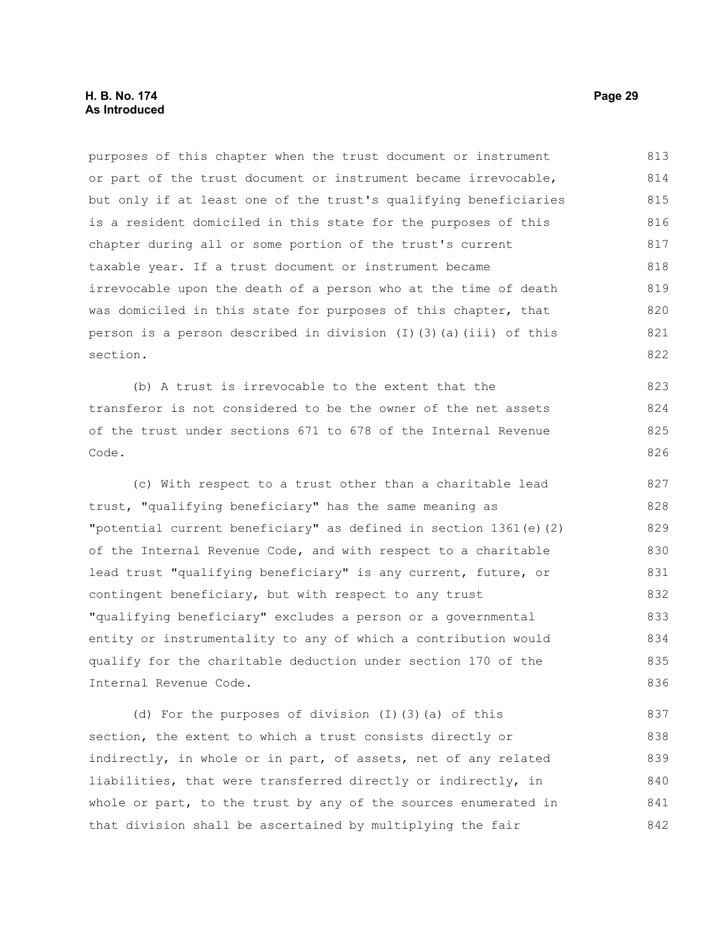### **H. B. No. 174 Page 29 As Introduced**

purposes of this chapter when the trust document or instrument or part of the trust document or instrument became irrevocable, but only if at least one of the trust's qualifying beneficiaries is a resident domiciled in this state for the purposes of this chapter during all or some portion of the trust's current taxable year. If a trust document or instrument became irrevocable upon the death of a person who at the time of death was domiciled in this state for purposes of this chapter, that person is a person described in division (I)(3)(a)(iii) of this section. 813 814 815 816 817 818 819 820 821 822

(b) A trust is irrevocable to the extent that the transferor is not considered to be the owner of the net assets of the trust under sections 671 to 678 of the Internal Revenue Code.

(c) With respect to a trust other than a charitable lead trust, "qualifying beneficiary" has the same meaning as "potential current beneficiary" as defined in section 1361(e)(2) of the Internal Revenue Code, and with respect to a charitable lead trust "qualifying beneficiary" is any current, future, or contingent beneficiary, but with respect to any trust "qualifying beneficiary" excludes a person or a governmental entity or instrumentality to any of which a contribution would qualify for the charitable deduction under section 170 of the Internal Revenue Code. 827 828 829 830 831 832 833 834 835 836

(d) For the purposes of division (I)(3)(a) of this section, the extent to which a trust consists directly or indirectly, in whole or in part, of assets, net of any related liabilities, that were transferred directly or indirectly, in whole or part, to the trust by any of the sources enumerated in that division shall be ascertained by multiplying the fair 837 838 839 840 841 842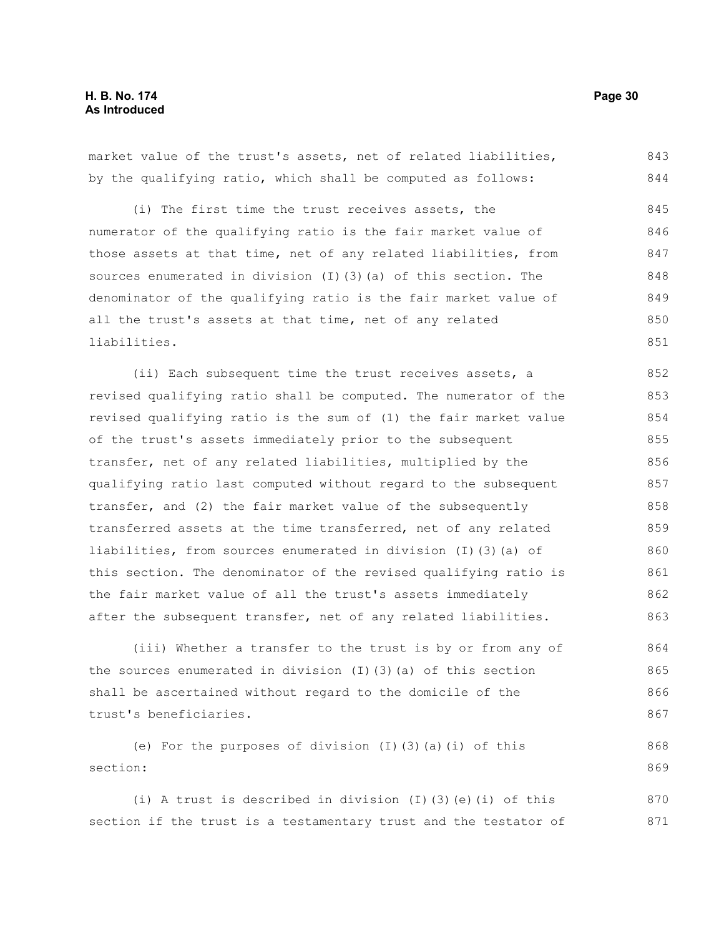market value of the trust's assets, net of related liabilities, by the qualifying ratio, which shall be computed as follows: 843 844

(i) The first time the trust receives assets, the numerator of the qualifying ratio is the fair market value of those assets at that time, net of any related liabilities, from sources enumerated in division (I)(3)(a) of this section. The denominator of the qualifying ratio is the fair market value of all the trust's assets at that time, net of any related liabilities. 845 846 847 848 849 850 851

(ii) Each subsequent time the trust receives assets, a revised qualifying ratio shall be computed. The numerator of the revised qualifying ratio is the sum of (1) the fair market value of the trust's assets immediately prior to the subsequent transfer, net of any related liabilities, multiplied by the qualifying ratio last computed without regard to the subsequent transfer, and (2) the fair market value of the subsequently transferred assets at the time transferred, net of any related liabilities, from sources enumerated in division (I)(3)(a) of this section. The denominator of the revised qualifying ratio is the fair market value of all the trust's assets immediately after the subsequent transfer, net of any related liabilities. 852 853 854 855 856 857 858 859 860 861 862 863

(iii) Whether a transfer to the trust is by or from any of the sources enumerated in division (I)(3)(a) of this section shall be ascertained without regard to the domicile of the trust's beneficiaries. 864 865 866 867

(e) For the purposes of division (I)(3)(a)(i) of this section: 868 869

(i) A trust is described in division (I)(3)(e)(i) of this section if the trust is a testamentary trust and the testator of 870 871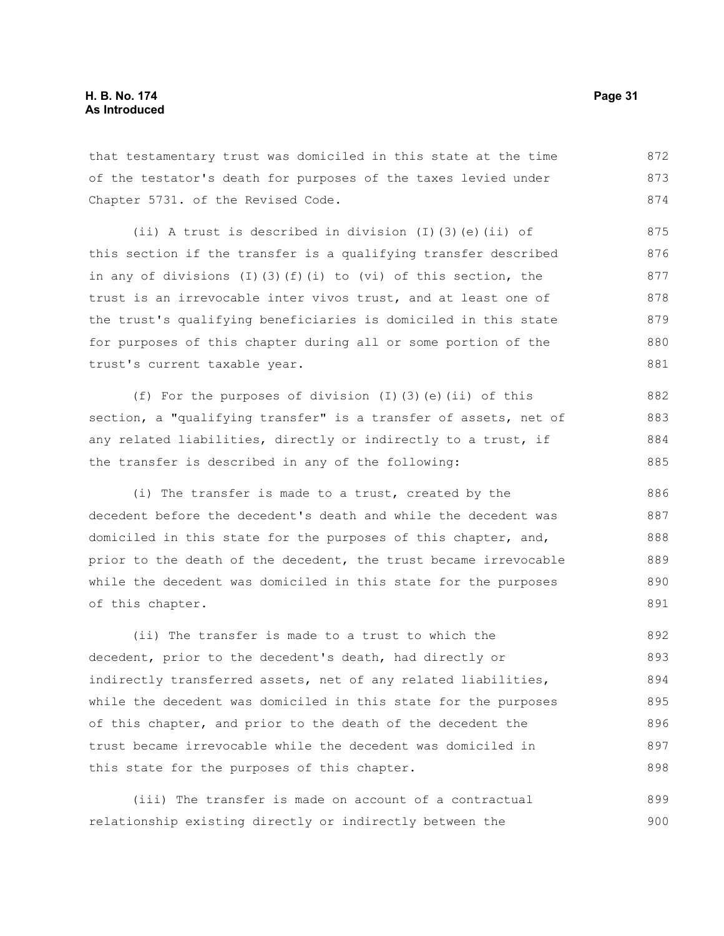that testamentary trust was domiciled in this state at the time of the testator's death for purposes of the taxes levied under Chapter 5731. of the Revised Code. 872 873 874

(ii) A trust is described in division  $(I)$  (3)(e)(ii) of this section if the transfer is a qualifying transfer described in any of divisions (I)(3)(f)(i) to (vi) of this section, the trust is an irrevocable inter vivos trust, and at least one of the trust's qualifying beneficiaries is domiciled in this state for purposes of this chapter during all or some portion of the trust's current taxable year. 875 876 877 878 879 880 881

(f) For the purposes of division (I)(3)(e)(ii) of this section, a "qualifying transfer" is a transfer of assets, net of any related liabilities, directly or indirectly to a trust, if the transfer is described in any of the following:

(i) The transfer is made to a trust, created by the decedent before the decedent's death and while the decedent was domiciled in this state for the purposes of this chapter, and, prior to the death of the decedent, the trust became irrevocable while the decedent was domiciled in this state for the purposes of this chapter.

(ii) The transfer is made to a trust to which the decedent, prior to the decedent's death, had directly or indirectly transferred assets, net of any related liabilities, while the decedent was domiciled in this state for the purposes of this chapter, and prior to the death of the decedent the trust became irrevocable while the decedent was domiciled in this state for the purposes of this chapter. 892 893 894 895 896 897 898

(iii) The transfer is made on account of a contractual relationship existing directly or indirectly between the 899 900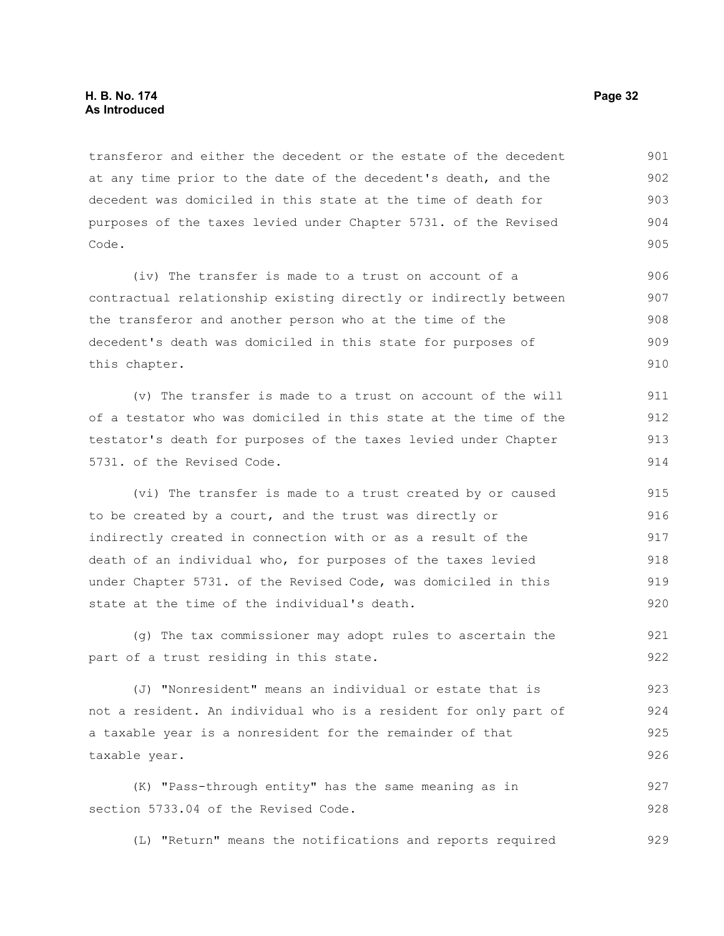transferor and either the decedent or the estate of the decedent at any time prior to the date of the decedent's death, and the decedent was domiciled in this state at the time of death for purposes of the taxes levied under Chapter 5731. of the Revised Code. 901 902 903 904 905

(iv) The transfer is made to a trust on account of a contractual relationship existing directly or indirectly between the transferor and another person who at the time of the decedent's death was domiciled in this state for purposes of this chapter. 906 907 908 909 910

(v) The transfer is made to a trust on account of the will of a testator who was domiciled in this state at the time of the testator's death for purposes of the taxes levied under Chapter 5731. of the Revised Code. 911 912 913 914

(vi) The transfer is made to a trust created by or caused to be created by a court, and the trust was directly or indirectly created in connection with or as a result of the death of an individual who, for purposes of the taxes levied under Chapter 5731. of the Revised Code, was domiciled in this state at the time of the individual's death. 915 916 917 918 919 920

(g) The tax commissioner may adopt rules to ascertain the part of a trust residing in this state. 921 922

(J) "Nonresident" means an individual or estate that is not a resident. An individual who is a resident for only part of a taxable year is a nonresident for the remainder of that taxable year. 923 924 925 926

(K) "Pass-through entity" has the same meaning as in section 5733.04 of the Revised Code. 927 928

(L) "Return" means the notifications and reports required 929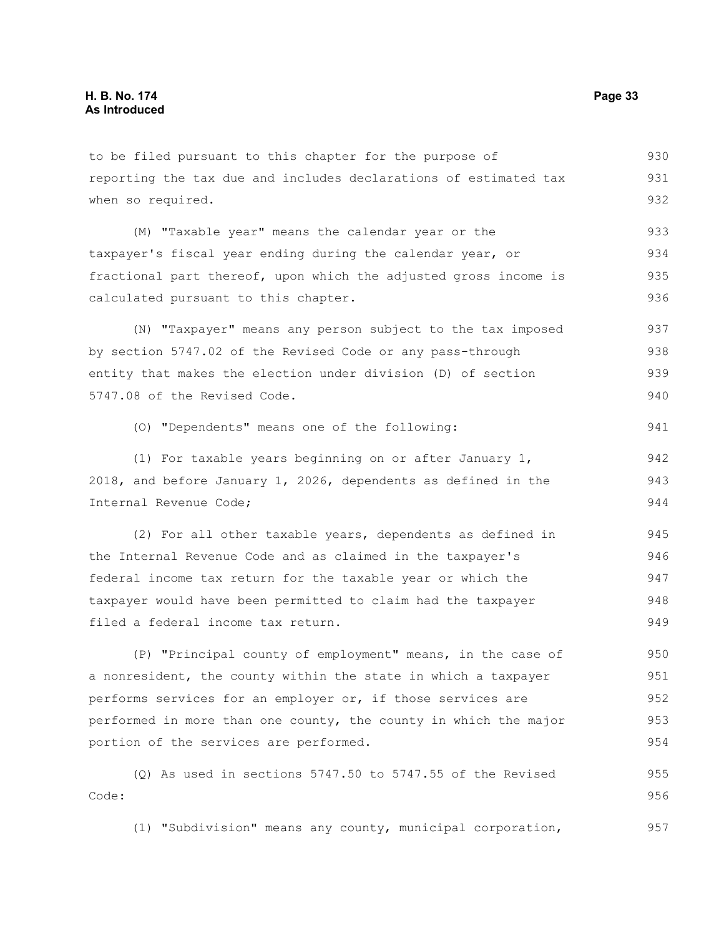to be filed pursuant to this chapter for the purpose of reporting the tax due and includes declarations of estimated tax when so required. 930 931 932

(M) "Taxable year" means the calendar year or the taxpayer's fiscal year ending during the calendar year, or fractional part thereof, upon which the adjusted gross income is calculated pursuant to this chapter. 933 934 935 936

(N) "Taxpayer" means any person subject to the tax imposed by section 5747.02 of the Revised Code or any pass-through entity that makes the election under division (D) of section 5747.08 of the Revised Code. 937 938 939 940

(O) "Dependents" means one of the following:

(1) For taxable years beginning on or after January 1, 2018, and before January 1, 2026, dependents as defined in the Internal Revenue Code; 942 943 944

(2) For all other taxable years, dependents as defined in the Internal Revenue Code and as claimed in the taxpayer's federal income tax return for the taxable year or which the taxpayer would have been permitted to claim had the taxpayer filed a federal income tax return. 945 946 947 948 949

(P) "Principal county of employment" means, in the case of a nonresident, the county within the state in which a taxpayer performs services for an employer or, if those services are performed in more than one county, the county in which the major portion of the services are performed. 950 951 952 953 954

(Q) As used in sections 5747.50 to 5747.55 of the Revised Code: 955 956

(1) "Subdivision" means any county, municipal corporation, 957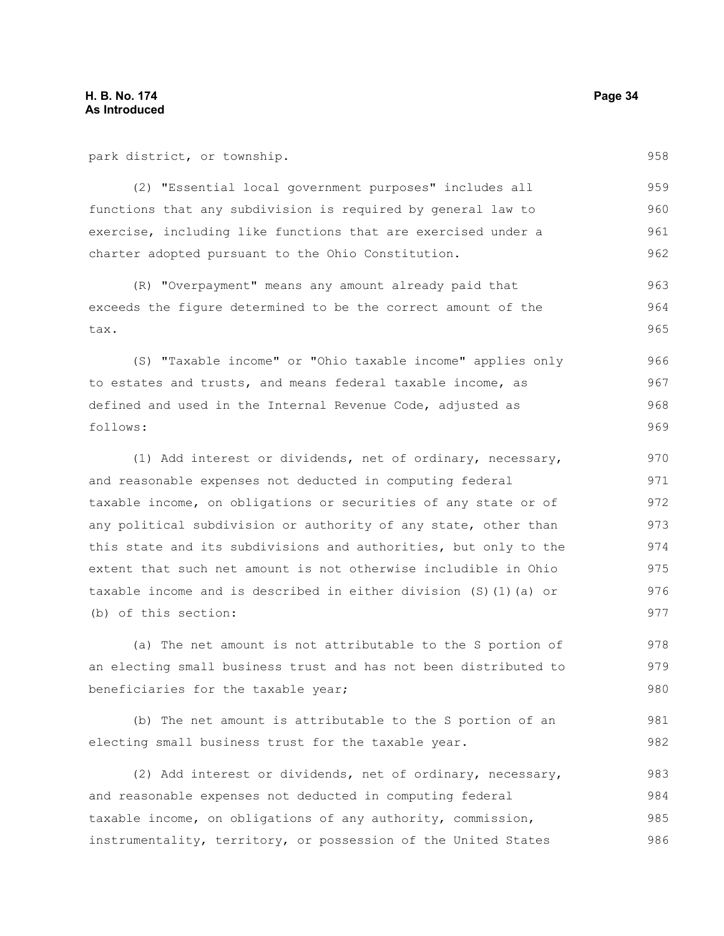park district, or township.

(2) "Essential local government purposes" includes all functions that any subdivision is required by general law to exercise, including like functions that are exercised under a charter adopted pursuant to the Ohio Constitution. 959 960 961 962

(R) "Overpayment" means any amount already paid that exceeds the figure determined to be the correct amount of the tax. 963 964 965

(S) "Taxable income" or "Ohio taxable income" applies only to estates and trusts, and means federal taxable income, as defined and used in the Internal Revenue Code, adjusted as follows: 966 967 968 969

(1) Add interest or dividends, net of ordinary, necessary, and reasonable expenses not deducted in computing federal taxable income, on obligations or securities of any state or of any political subdivision or authority of any state, other than this state and its subdivisions and authorities, but only to the extent that such net amount is not otherwise includible in Ohio taxable income and is described in either division (S)(1)(a) or (b) of this section: 970 971 972 973 974 975 976 977

(a) The net amount is not attributable to the S portion of an electing small business trust and has not been distributed to beneficiaries for the taxable year; 978 979 980

(b) The net amount is attributable to the S portion of an electing small business trust for the taxable year. 981 982

(2) Add interest or dividends, net of ordinary, necessary, and reasonable expenses not deducted in computing federal taxable income, on obligations of any authority, commission, instrumentality, territory, or possession of the United States 983 984 985 986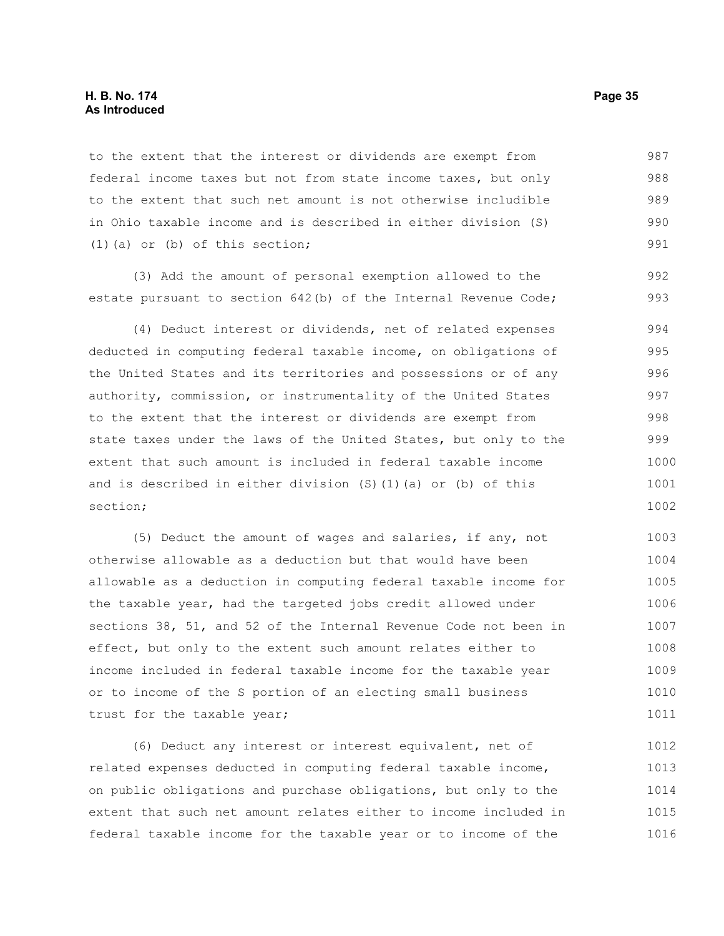#### **H. B. No. 174 Page 35 As Introduced**

to the extent that the interest or dividends are exempt from federal income taxes but not from state income taxes, but only to the extent that such net amount is not otherwise includible in Ohio taxable income and is described in either division (S) (1)(a) or (b) of this section; 987 988 989 990 991

(3) Add the amount of personal exemption allowed to the estate pursuant to section 642(b) of the Internal Revenue Code;

(4) Deduct interest or dividends, net of related expenses deducted in computing federal taxable income, on obligations of the United States and its territories and possessions or of any authority, commission, or instrumentality of the United States to the extent that the interest or dividends are exempt from state taxes under the laws of the United States, but only to the extent that such amount is included in federal taxable income and is described in either division (S)(1)(a) or (b) of this section; 994 995 996 997 998 999 1000 1001 1002

(5) Deduct the amount of wages and salaries, if any, not otherwise allowable as a deduction but that would have been allowable as a deduction in computing federal taxable income for the taxable year, had the targeted jobs credit allowed under sections 38, 51, and 52 of the Internal Revenue Code not been in effect, but only to the extent such amount relates either to income included in federal taxable income for the taxable year or to income of the S portion of an electing small business trust for the taxable year; 1003 1004 1005 1006 1007 1008 1009 1010 1011

(6) Deduct any interest or interest equivalent, net of related expenses deducted in computing federal taxable income, on public obligations and purchase obligations, but only to the extent that such net amount relates either to income included in federal taxable income for the taxable year or to income of the 1012 1013 1014 1015 1016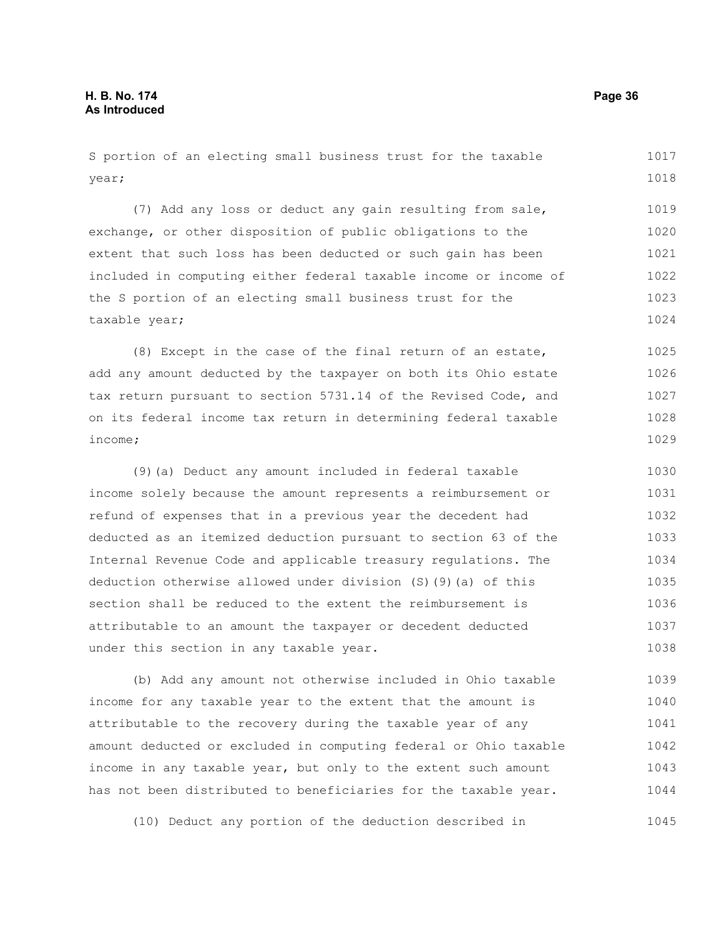S portion of an electing small business trust for the taxable year; (7) Add any loss or deduct any gain resulting from sale, 1017 1018 1019

exchange, or other disposition of public obligations to the extent that such loss has been deducted or such gain has been included in computing either federal taxable income or income of the S portion of an electing small business trust for the taxable year; 1020 1021 1022 1023 1024

(8) Except in the case of the final return of an estate, add any amount deducted by the taxpayer on both its Ohio estate tax return pursuant to section 5731.14 of the Revised Code, and on its federal income tax return in determining federal taxable income; 1025 1026 1027 1028 1029

(9)(a) Deduct any amount included in federal taxable income solely because the amount represents a reimbursement or refund of expenses that in a previous year the decedent had deducted as an itemized deduction pursuant to section 63 of the Internal Revenue Code and applicable treasury regulations. The deduction otherwise allowed under division (S)(9)(a) of this section shall be reduced to the extent the reimbursement is attributable to an amount the taxpayer or decedent deducted under this section in any taxable year. 1030 1031 1032 1033 1034 1035 1036 1037 1038

(b) Add any amount not otherwise included in Ohio taxable income for any taxable year to the extent that the amount is attributable to the recovery during the taxable year of any amount deducted or excluded in computing federal or Ohio taxable income in any taxable year, but only to the extent such amount has not been distributed to beneficiaries for the taxable year. 1039 1040 1041 1042 1043 1044

(10) Deduct any portion of the deduction described in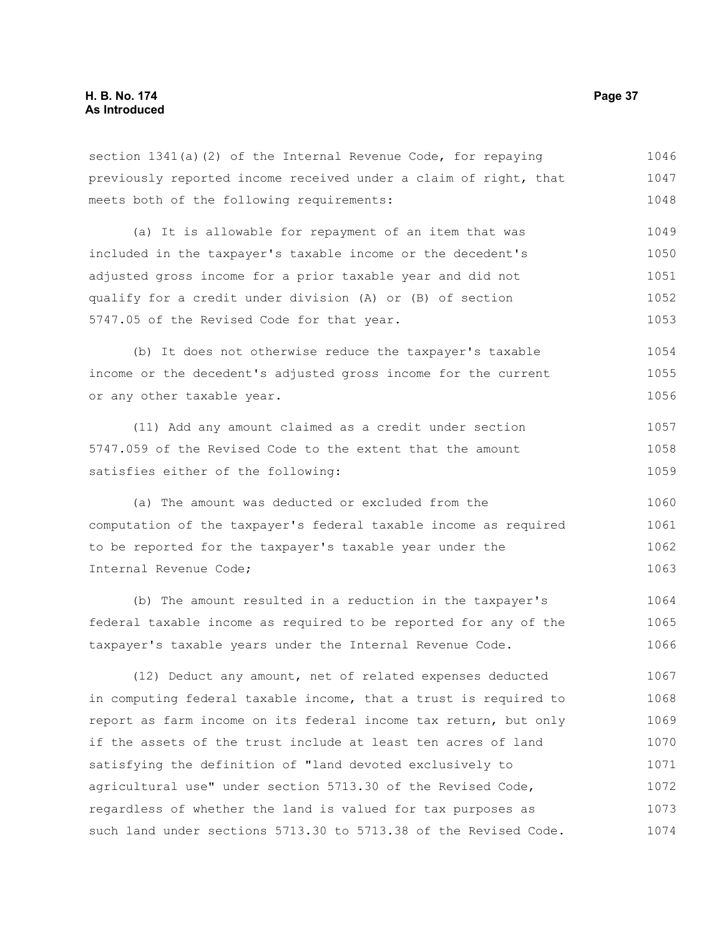previously reported income received under a claim of right, that meets both of the following requirements: (a) It is allowable for repayment of an item that was included in the taxpayer's taxable income or the decedent's adjusted gross income for a prior taxable year and did not qualify for a credit under division (A) or (B) of section 5747.05 of the Revised Code for that year. (b) It does not otherwise reduce the taxpayer's taxable income or the decedent's adjusted gross income for the current or any other taxable year. (11) Add any amount claimed as a credit under section 5747.059 of the Revised Code to the extent that the amount satisfies either of the following: (a) The amount was deducted or excluded from the computation of the taxpayer's federal taxable income as required to be reported for the taxpayer's taxable year under the Internal Revenue Code; (b) The amount resulted in a reduction in the taxpayer's federal taxable income as required to be reported for any of the taxpayer's taxable years under the Internal Revenue Code. 1047 1048 1049 1050 1051 1052 1053 1054 1055 1056 1057 1058 1059 1060 1061 1062 1063 1064 1065 1066

section 1341(a)(2) of the Internal Revenue Code, for repaying

(12) Deduct any amount, net of related expenses deducted in computing federal taxable income, that a trust is required to report as farm income on its federal income tax return, but only if the assets of the trust include at least ten acres of land satisfying the definition of "land devoted exclusively to agricultural use" under section 5713.30 of the Revised Code, regardless of whether the land is valued for tax purposes as such land under sections 5713.30 to 5713.38 of the Revised Code. 1067 1068 1069 1070 1071 1072 1073 1074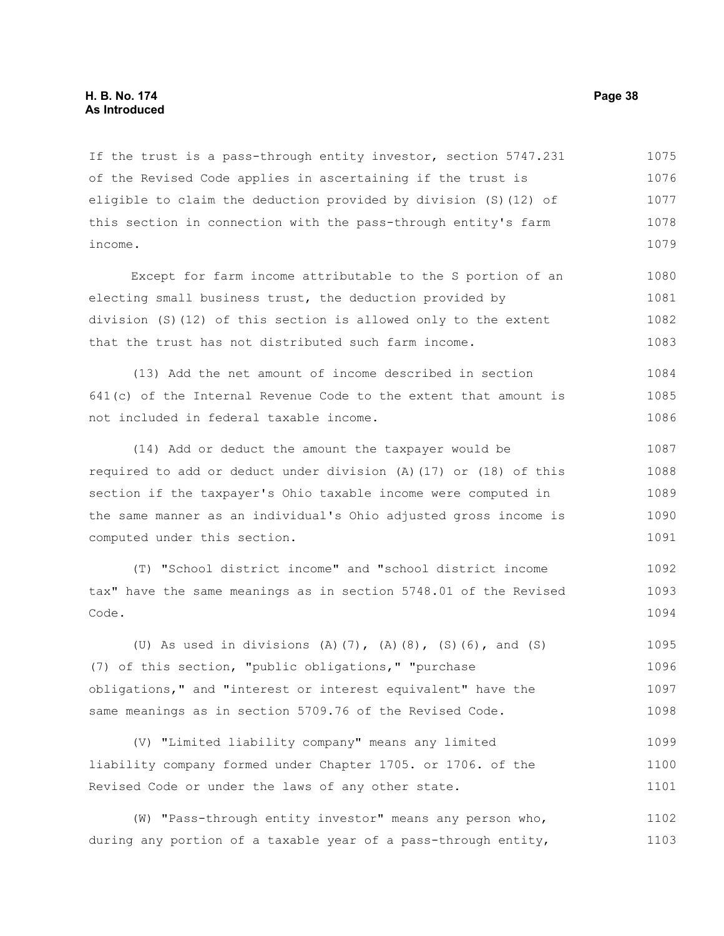If the trust is a pass-through entity investor, section 5747.231 of the Revised Code applies in ascertaining if the trust is eligible to claim the deduction provided by division (S)(12) of this section in connection with the pass-through entity's farm income. 1075 1076 1077 1078 1079

Except for farm income attributable to the S portion of an electing small business trust, the deduction provided by division (S)(12) of this section is allowed only to the extent that the trust has not distributed such farm income. 1080 1081 1082 1083

(13) Add the net amount of income described in section 641(c) of the Internal Revenue Code to the extent that amount is not included in federal taxable income. 1084 1085 1086

(14) Add or deduct the amount the taxpayer would be required to add or deduct under division (A)(17) or (18) of this section if the taxpayer's Ohio taxable income were computed in the same manner as an individual's Ohio adjusted gross income is computed under this section. 1087 1088 1089 1090 1091

(T) "School district income" and "school district income tax" have the same meanings as in section 5748.01 of the Revised Code. 1092 1093 1094

(U) As used in divisions  $(A)$   $(7)$ ,  $(A)$   $(8)$ ,  $(S)$   $(6)$ , and  $(S)$ (7) of this section, "public obligations," "purchase obligations," and "interest or interest equivalent" have the same meanings as in section 5709.76 of the Revised Code. 1095 1096 1097 1098

(V) "Limited liability company" means any limited liability company formed under Chapter 1705. or 1706. of the Revised Code or under the laws of any other state. 1099 1100 1101

(W) "Pass-through entity investor" means any person who, during any portion of a taxable year of a pass-through entity, 1102 1103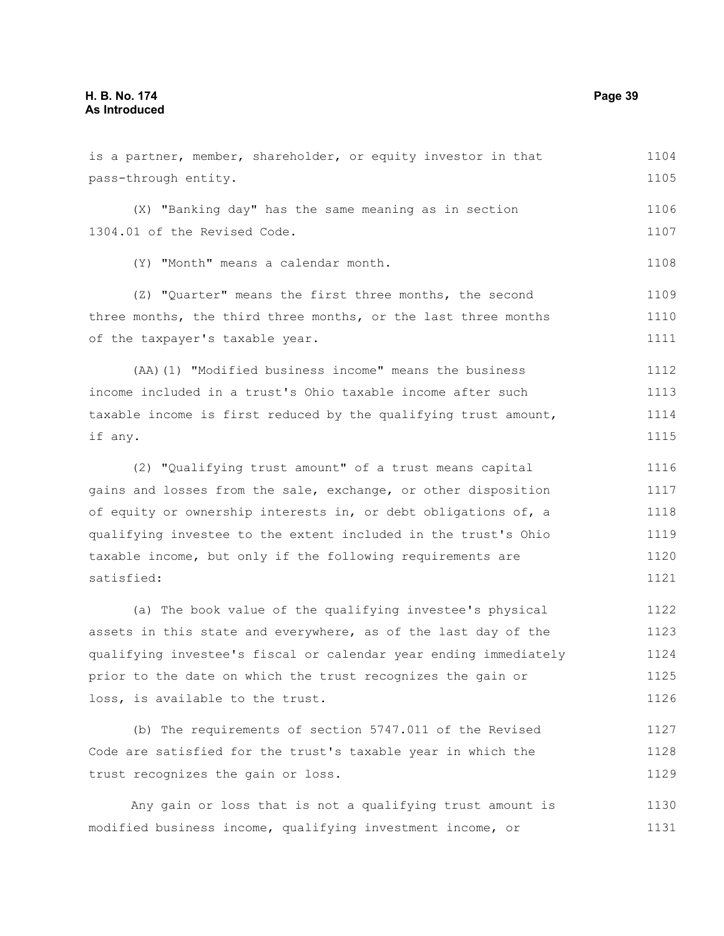| pass-through entity.                                             | 1105 |
|------------------------------------------------------------------|------|
| (X) "Banking day" has the same meaning as in section             | 1106 |
| 1304.01 of the Revised Code.                                     | 1107 |
| (Y) "Month" means a calendar month.                              | 1108 |
| (Z) "Quarter" means the first three months, the second           | 1109 |
| three months, the third three months, or the last three months   | 1110 |
| of the taxpayer's taxable year.                                  | 1111 |
| (AA) (1) "Modified business income" means the business           | 1112 |
| income included in a trust's Ohio taxable income after such      | 1113 |
| taxable income is first reduced by the qualifying trust amount,  | 1114 |
| if any.                                                          | 1115 |
| (2) "Qualifying trust amount" of a trust means capital           | 1116 |
| gains and losses from the sale, exchange, or other disposition   | 1117 |
| of equity or ownership interests in, or debt obligations of, a   | 1118 |
| qualifying investee to the extent included in the trust's Ohio   | 1119 |
| taxable income, but only if the following requirements are       |      |
| satisfied:                                                       | 1121 |
| (a) The book value of the qualifying investee's physical         | 1122 |
| assets in this state and everywhere, as of the last day of the   | 1123 |
| qualifying investee's fiscal or calendar year ending immediately | 1124 |
| prior to the date on which the trust recognizes the gain or      | 1125 |
| loss, is available to the trust.                                 | 1126 |
| (b) The requirements of section 5747.011 of the Revised          | 1127 |
| Code are satisfied for the trust's taxable year in which the     | 1128 |
| trust recognizes the gain or loss.                               | 1129 |
|                                                                  |      |

is a partner, member, shareholder, or equity investor in that

Any gain or loss that is not a qualifying trust amount is 1130 modified business income, qualifying investment income, or 1131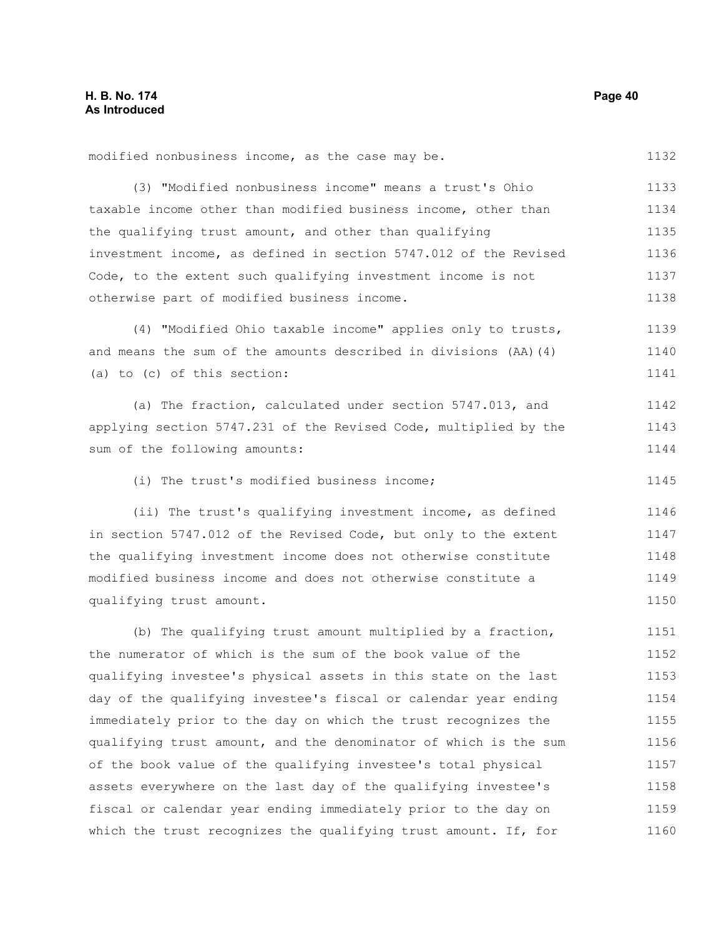modified nonbusiness income, as the case may be.

(3) "Modified nonbusiness income" means a trust's Ohio taxable income other than modified business income, other than the qualifying trust amount, and other than qualifying investment income, as defined in section 5747.012 of the Revised Code, to the extent such qualifying investment income is not otherwise part of modified business income. 1133 1134 1135 1136 1137 1138

(4) "Modified Ohio taxable income" applies only to trusts, and means the sum of the amounts described in divisions (AA)(4) (a) to (c) of this section: 1139 1140 1141

(a) The fraction, calculated under section 5747.013, and applying section 5747.231 of the Revised Code, multiplied by the sum of the following amounts: 1142 1143 1144

(i) The trust's modified business income;

(ii) The trust's qualifying investment income, as defined in section 5747.012 of the Revised Code, but only to the extent the qualifying investment income does not otherwise constitute modified business income and does not otherwise constitute a qualifying trust amount. 1146 1147 1148 1149 1150

(b) The qualifying trust amount multiplied by a fraction, the numerator of which is the sum of the book value of the qualifying investee's physical assets in this state on the last day of the qualifying investee's fiscal or calendar year ending immediately prior to the day on which the trust recognizes the qualifying trust amount, and the denominator of which is the sum of the book value of the qualifying investee's total physical assets everywhere on the last day of the qualifying investee's fiscal or calendar year ending immediately prior to the day on which the trust recognizes the qualifying trust amount. If, for 1151 1152 1153 1154 1155 1156 1157 1158 1159 1160

1145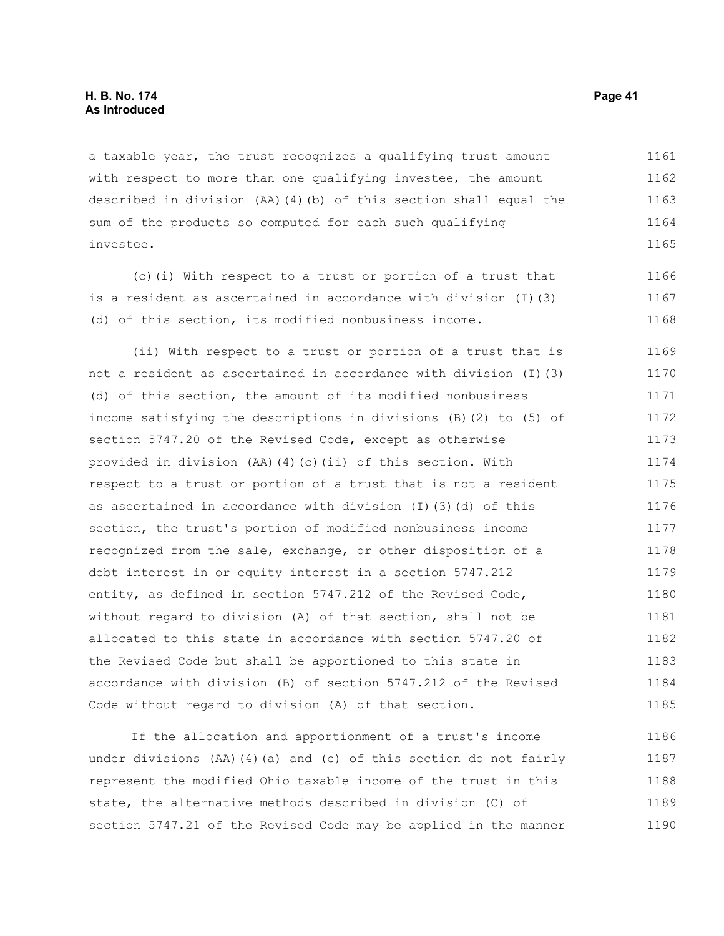a taxable year, the trust recognizes a qualifying trust amount with respect to more than one qualifying investee, the amount described in division (AA)(4)(b) of this section shall equal the sum of the products so computed for each such qualifying investee. 1161 1162 1163 1164 1165

(c)(i) With respect to a trust or portion of a trust that is a resident as ascertained in accordance with division (I)(3) (d) of this section, its modified nonbusiness income. 1166 1167 1168

(ii) With respect to a trust or portion of a trust that is not a resident as ascertained in accordance with division (I)(3) (d) of this section, the amount of its modified nonbusiness income satisfying the descriptions in divisions (B)(2) to (5) of section 5747.20 of the Revised Code, except as otherwise provided in division (AA)(4)(c)(ii) of this section. With respect to a trust or portion of a trust that is not a resident as ascertained in accordance with division (I)(3)(d) of this section, the trust's portion of modified nonbusiness income recognized from the sale, exchange, or other disposition of a debt interest in or equity interest in a section 5747.212 entity, as defined in section 5747.212 of the Revised Code, without regard to division (A) of that section, shall not be allocated to this state in accordance with section 5747.20 of the Revised Code but shall be apportioned to this state in accordance with division (B) of section 5747.212 of the Revised Code without regard to division (A) of that section. 1169 1170 1171 1172 1173 1174 1175 1176 1177 1178 1179 1180 1181 1182 1183 1184 1185

If the allocation and apportionment of a trust's income under divisions (AA)(4)(a) and (c) of this section do not fairly represent the modified Ohio taxable income of the trust in this state, the alternative methods described in division (C) of section 5747.21 of the Revised Code may be applied in the manner 1186 1187 1188 1189 1190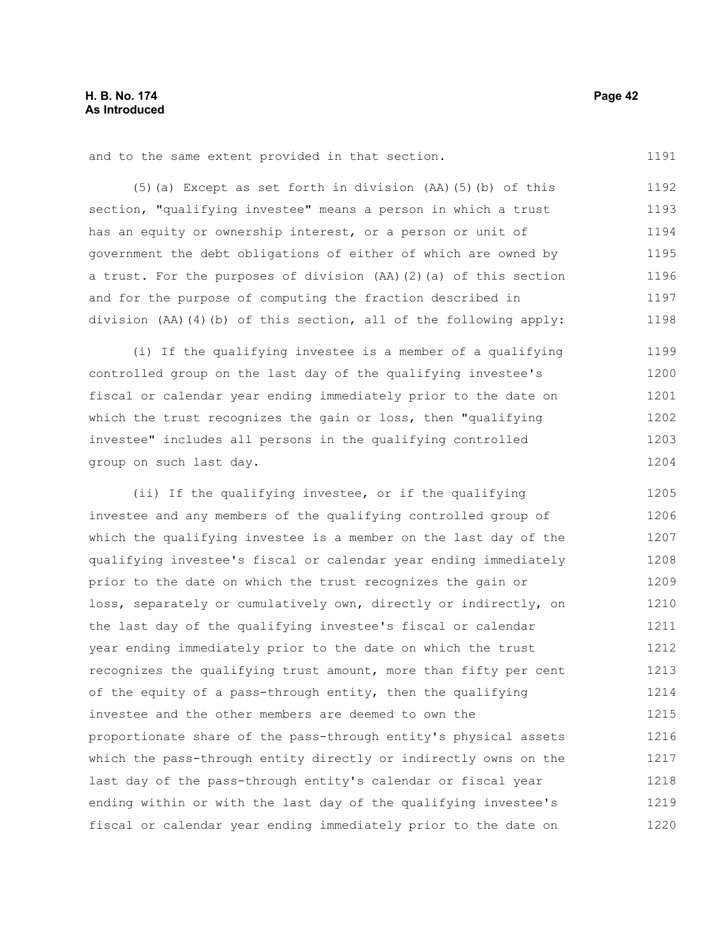and to the same extent provided in that section.

(5)(a) Except as set forth in division (AA)(5)(b) of this section, "qualifying investee" means a person in which a trust has an equity or ownership interest, or a person or unit of government the debt obligations of either of which are owned by a trust. For the purposes of division (AA)(2)(a) of this section and for the purpose of computing the fraction described in division (AA)(4)(b) of this section, all of the following apply: 1192 1193 1194 1195 1196 1197 1198

(i) If the qualifying investee is a member of a qualifying controlled group on the last day of the qualifying investee's fiscal or calendar year ending immediately prior to the date on which the trust recognizes the gain or loss, then "qualifying investee" includes all persons in the qualifying controlled group on such last day. 1199 1200 1201 1202 1203 1204

(ii) If the qualifying investee, or if the qualifying investee and any members of the qualifying controlled group of which the qualifying investee is a member on the last day of the qualifying investee's fiscal or calendar year ending immediately prior to the date on which the trust recognizes the gain or loss, separately or cumulatively own, directly or indirectly, on the last day of the qualifying investee's fiscal or calendar year ending immediately prior to the date on which the trust recognizes the qualifying trust amount, more than fifty per cent of the equity of a pass-through entity, then the qualifying investee and the other members are deemed to own the proportionate share of the pass-through entity's physical assets which the pass-through entity directly or indirectly owns on the last day of the pass-through entity's calendar or fiscal year ending within or with the last day of the qualifying investee's fiscal or calendar year ending immediately prior to the date on 1205 1206 1207 1208 1209 1210 1211 1212 1213 1214 1215 1216 1217 1218 1219 1220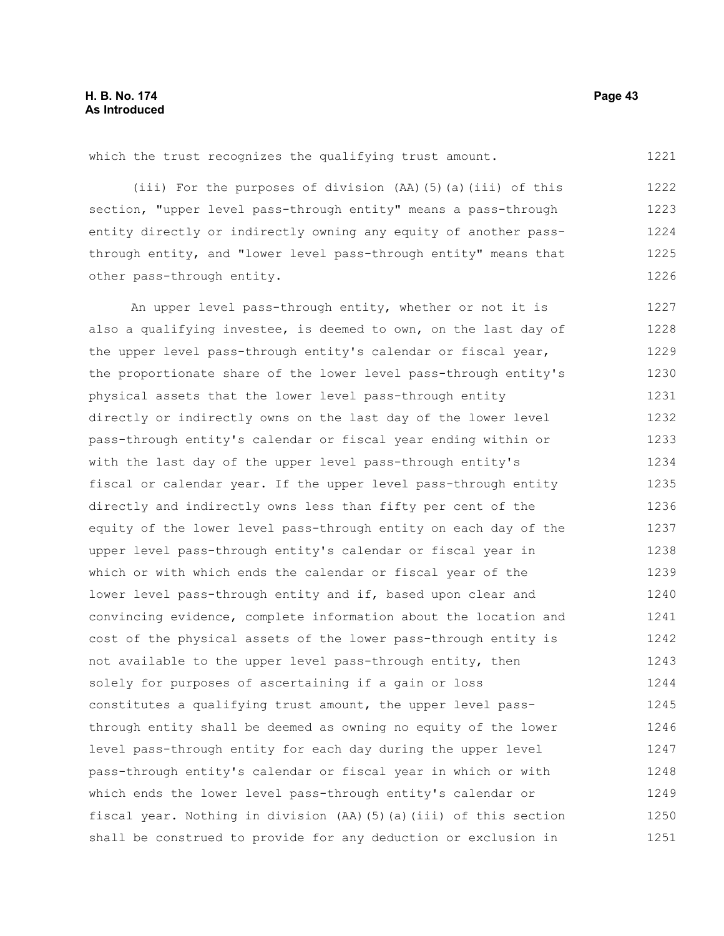### **H. B. No. 174 Page 43 As Introduced**

which the trust recognizes the qualifying trust amount.

(iii) For the purposes of division (AA)(5)(a)(iii) of this section, "upper level pass-through entity" means a pass-through entity directly or indirectly owning any equity of another passthrough entity, and "lower level pass-through entity" means that other pass-through entity. 1222 1223 1224 1225 1226

An upper level pass-through entity, whether or not it is also a qualifying investee, is deemed to own, on the last day of the upper level pass-through entity's calendar or fiscal year, the proportionate share of the lower level pass-through entity's physical assets that the lower level pass-through entity directly or indirectly owns on the last day of the lower level pass-through entity's calendar or fiscal year ending within or with the last day of the upper level pass-through entity's fiscal or calendar year. If the upper level pass-through entity directly and indirectly owns less than fifty per cent of the equity of the lower level pass-through entity on each day of the upper level pass-through entity's calendar or fiscal year in which or with which ends the calendar or fiscal year of the lower level pass-through entity and if, based upon clear and convincing evidence, complete information about the location and cost of the physical assets of the lower pass-through entity is not available to the upper level pass-through entity, then solely for purposes of ascertaining if a gain or loss constitutes a qualifying trust amount, the upper level passthrough entity shall be deemed as owning no equity of the lower level pass-through entity for each day during the upper level pass-through entity's calendar or fiscal year in which or with which ends the lower level pass-through entity's calendar or fiscal year. Nothing in division (AA)(5)(a)(iii) of this section shall be construed to provide for any deduction or exclusion in 1227 1228 1229 1230 1231 1232 1233 1234 1235 1236 1237 1238 1239 1240 1241 1242 1243 1244 1245 1246 1247 1248 1249 1250 1251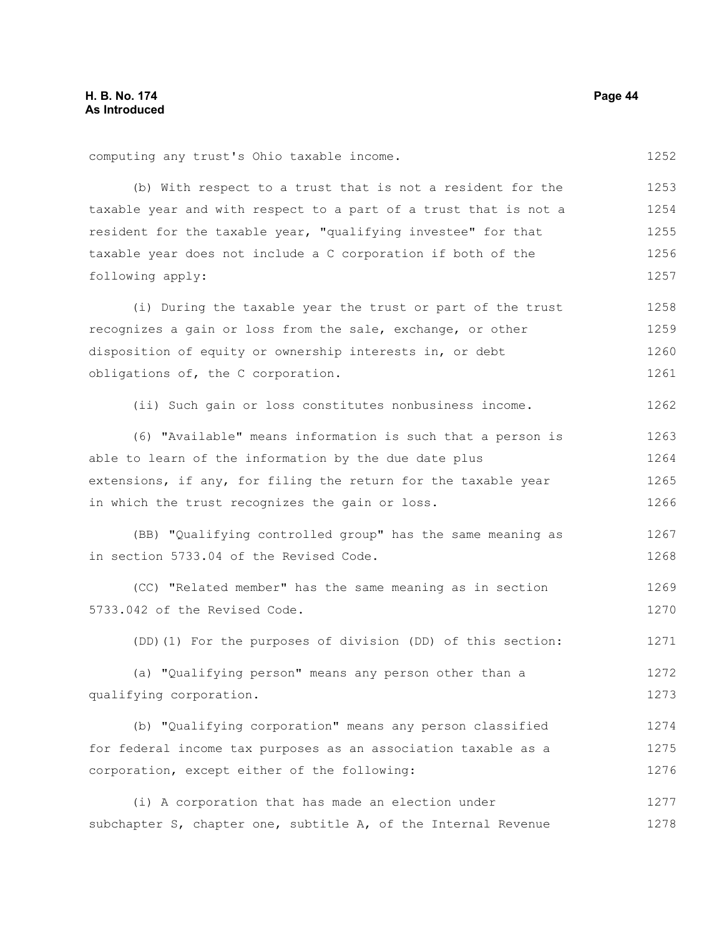| computing any trust's Ohio taxable income.                       | 1252 |
|------------------------------------------------------------------|------|
| (b) With respect to a trust that is not a resident for the       | 1253 |
| taxable year and with respect to a part of a trust that is not a | 1254 |
| resident for the taxable year, "qualifying investee" for that    | 1255 |
| taxable year does not include a C corporation if both of the     | 1256 |
| following apply:                                                 | 1257 |
| (i) During the taxable year the trust or part of the trust       | 1258 |
| recognizes a gain or loss from the sale, exchange, or other      | 1259 |
| disposition of equity or ownership interests in, or debt         | 1260 |
| obligations of, the C corporation.                               | 1261 |
| (ii) Such gain or loss constitutes nonbusiness income.           | 1262 |
| (6) "Available" means information is such that a person is       | 1263 |
| able to learn of the information by the due date plus            | 1264 |
| extensions, if any, for filing the return for the taxable year   |      |
| in which the trust recognizes the gain or loss.                  |      |
| (BB) "Qualifying controlled group" has the same meaning as       | 1267 |
| in section 5733.04 of the Revised Code.                          | 1268 |
| (CC) "Related member" has the same meaning as in section         | 1269 |
| 5733.042 of the Revised Code.                                    | 1270 |
| (DD) (1) For the purposes of division (DD) of this section:      | 1271 |
| (a) "Qualifying person" means any person other than a            | 1272 |
| qualifying corporation.                                          | 1273 |
| (b) "Qualifying corporation" means any person classified         | 1274 |
| for federal income tax purposes as an association taxable as a   | 1275 |
| corporation, except either of the following:                     | 1276 |
| (i) A corporation that has made an election under                | 1277 |
| subchapter S, chapter one, subtitle A, of the Internal Revenue   | 1278 |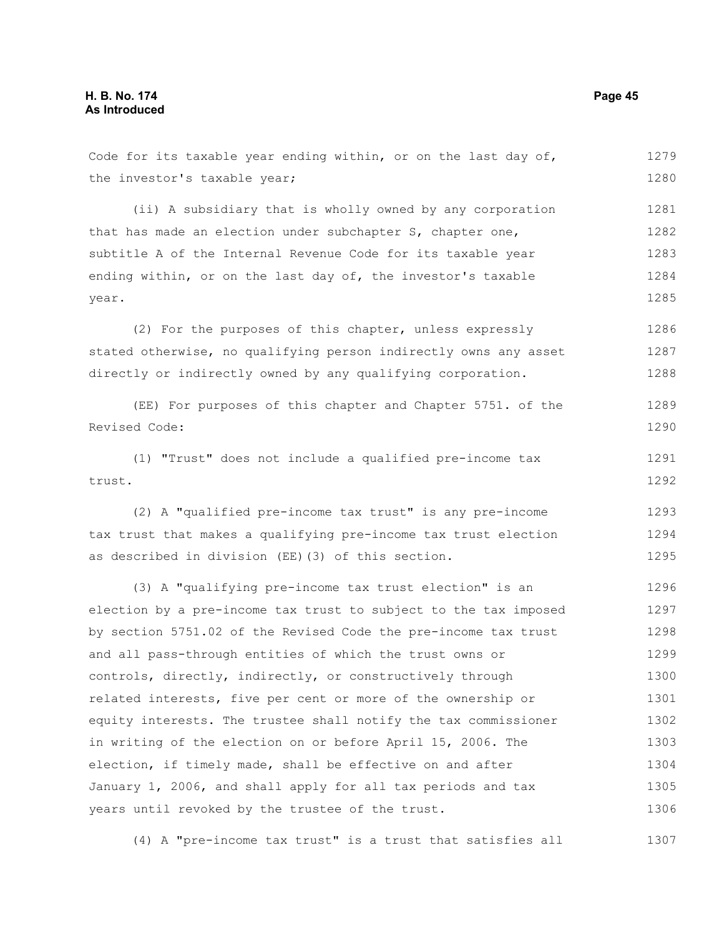the investor's taxable year; (ii) A subsidiary that is wholly owned by any corporation that has made an election under subchapter S, chapter one, subtitle A of the Internal Revenue Code for its taxable year ending within, or on the last day of, the investor's taxable year. (2) For the purposes of this chapter, unless expressly stated otherwise, no qualifying person indirectly owns any asset directly or indirectly owned by any qualifying corporation. (EE) For purposes of this chapter and Chapter 5751. of the Revised Code: (1) "Trust" does not include a qualified pre-income tax trust. (2) A "qualified pre-income tax trust" is any pre-income tax trust that makes a qualifying pre-income tax trust election as described in division (EE)(3) of this section. (3) A "qualifying pre-income tax trust election" is an election by a pre-income tax trust to subject to the tax imposed by section 5751.02 of the Revised Code the pre-income tax trust and all pass-through entities of which the trust owns or controls, directly, indirectly, or constructively through related interests, five per cent or more of the ownership or equity interests. The trustee shall notify the tax commissioner in writing of the election on or before April 15, 2006. The election, if timely made, shall be effective on and after 1280 1281 1282 1283 1284 1285 1286 1287 1288 1289 1290 1291 1292 1293 1294 1295 1296 1297 1298 1299 1300 1301 1302 1303 1304

Code for its taxable year ending within, or on the last day of,

(4) A "pre-income tax trust" is a trust that satisfies all 1307

January 1, 2006, and shall apply for all tax periods and tax

years until revoked by the trustee of the trust.

1279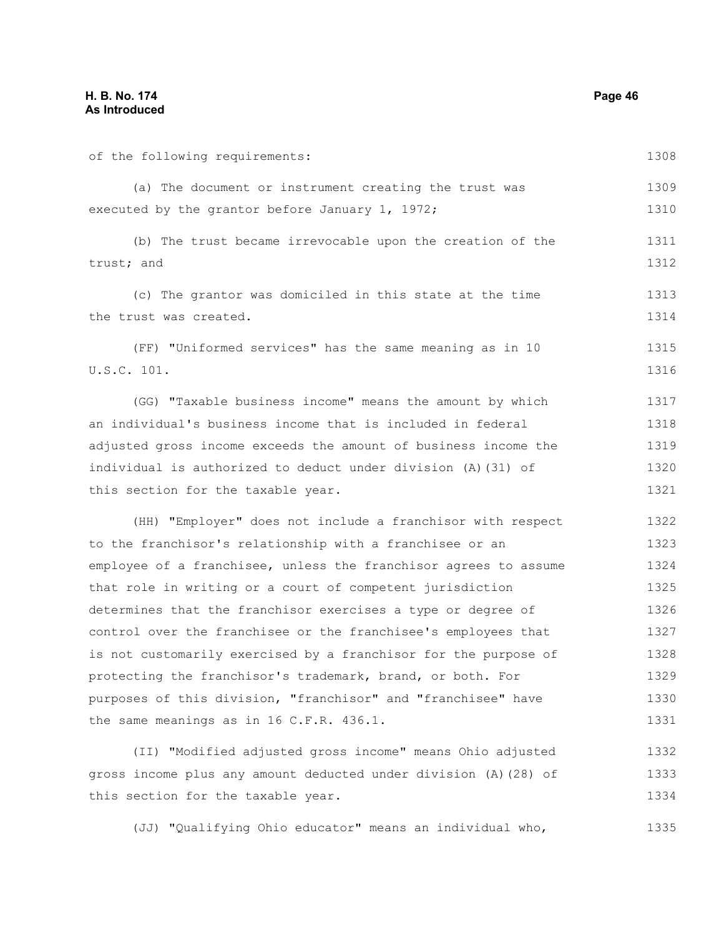of the following requirements: (a) The document or instrument creating the trust was executed by the grantor before January 1, 1972; (b) The trust became irrevocable upon the creation of the

trust; and 1311 1312

(c) The grantor was domiciled in this state at the time the trust was created. 1313 1314

(FF) "Uniformed services" has the same meaning as in 10 U.S.C. 101. 1315 1316

(GG) "Taxable business income" means the amount by which an individual's business income that is included in federal adjusted gross income exceeds the amount of business income the individual is authorized to deduct under division (A)(31) of this section for the taxable year. 1317 1318 1319 1320 1321

(HH) "Employer" does not include a franchisor with respect to the franchisor's relationship with a franchisee or an employee of a franchisee, unless the franchisor agrees to assume that role in writing or a court of competent jurisdiction determines that the franchisor exercises a type or degree of control over the franchisee or the franchisee's employees that is not customarily exercised by a franchisor for the purpose of protecting the franchisor's trademark, brand, or both. For purposes of this division, "franchisor" and "franchisee" have the same meanings as in 16 C.F.R. 436.1. 1322 1323 1324 1325 1326 1327 1328 1329 1330 1331

(II) "Modified adjusted gross income" means Ohio adjusted gross income plus any amount deducted under division (A)(28) of this section for the taxable year. 1332 1333 1334

(JJ) "Qualifying Ohio educator" means an individual who, 1335

1308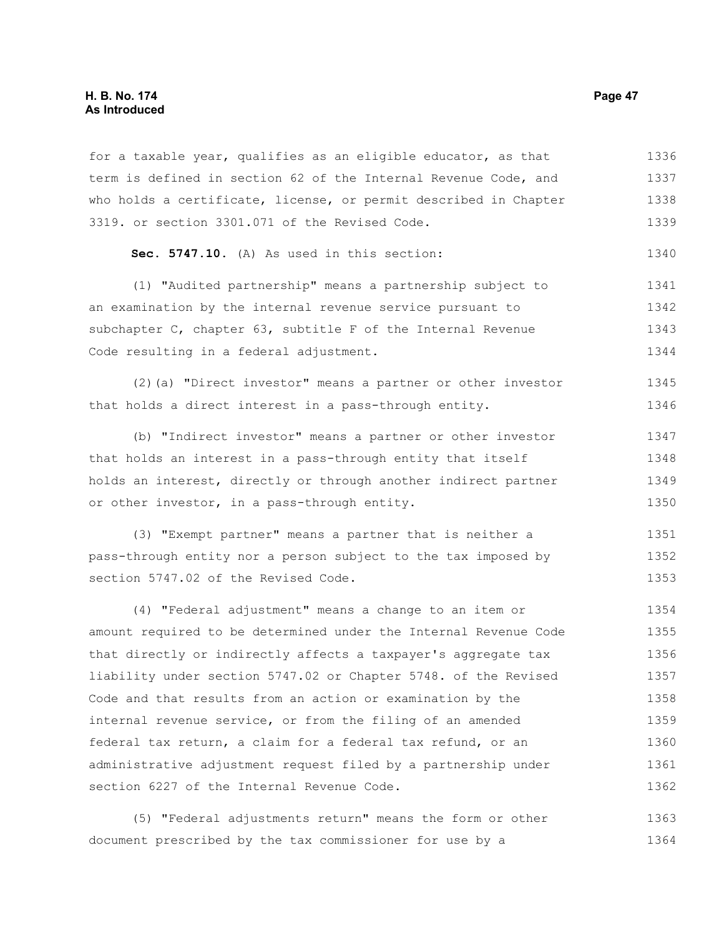#### **H. B. No. 174 Page 47 As Introduced**

for a taxable year, qualifies as an eligible educator, as that term is defined in section 62 of the Internal Revenue Code, and who holds a certificate, license, or permit described in Chapter 3319. or section 3301.071 of the Revised Code. 1336 1337 1338 1339

```
Sec. 5747.10. (A) As used in this section: 
                                                           1340
```
(1) "Audited partnership" means a partnership subject to an examination by the internal revenue service pursuant to subchapter C, chapter 63, subtitle F of the Internal Revenue Code resulting in a federal adjustment. 1341 1342 1343 1344

(2)(a) "Direct investor" means a partner or other investor that holds a direct interest in a pass-through entity. 1345 1346

(b) "Indirect investor" means a partner or other investor that holds an interest in a pass-through entity that itself holds an interest, directly or through another indirect partner or other investor, in a pass-through entity. 1347 1348 1349 1350

(3) "Exempt partner" means a partner that is neither a pass-through entity nor a person subject to the tax imposed by section 5747.02 of the Revised Code. 1351 1352 1353

(4) "Federal adjustment" means a change to an item or amount required to be determined under the Internal Revenue Code that directly or indirectly affects a taxpayer's aggregate tax liability under section 5747.02 or Chapter 5748. of the Revised Code and that results from an action or examination by the internal revenue service, or from the filing of an amended federal tax return, a claim for a federal tax refund, or an administrative adjustment request filed by a partnership under section 6227 of the Internal Revenue Code. 1354 1355 1356 1357 1358 1359 1360 1361 1362

(5) "Federal adjustments return" means the form or other document prescribed by the tax commissioner for use by a 1363 1364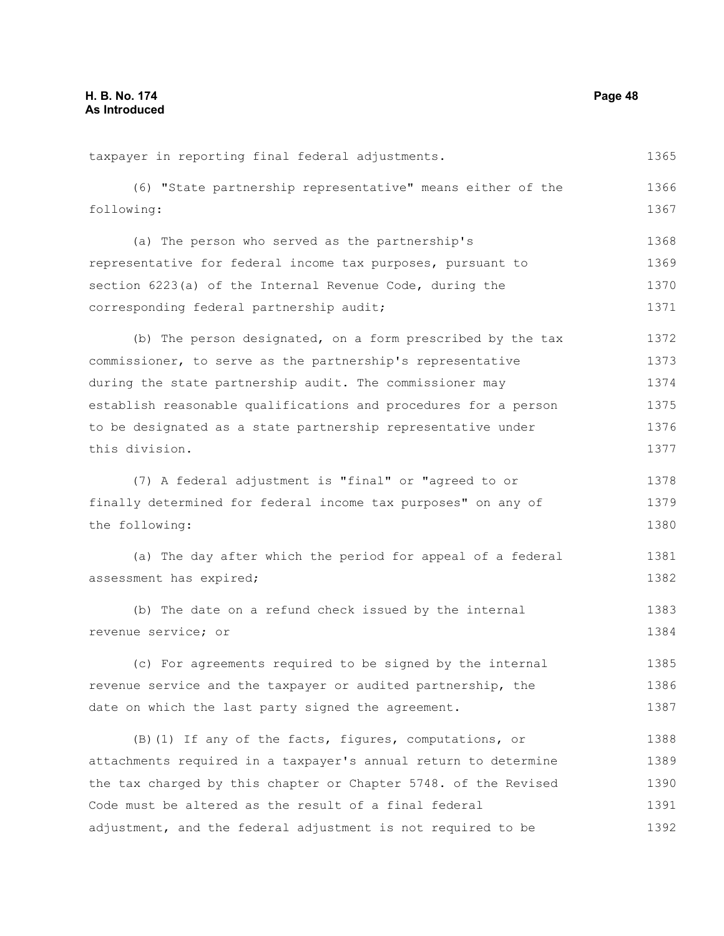taxpayer in reporting final federal adjustments. (6) "State partnership representative" means either of the following: (a) The person who served as the partnership's representative for federal income tax purposes, pursuant to section 6223(a) of the Internal Revenue Code, during the corresponding federal partnership audit; (b) The person designated, on a form prescribed by the tax commissioner, to serve as the partnership's representative during the state partnership audit. The commissioner may establish reasonable qualifications and procedures for a person to be designated as a state partnership representative under this division. (7) A federal adjustment is "final" or "agreed to or finally determined for federal income tax purposes" on any of the following: (a) The day after which the period for appeal of a federal assessment has expired; (b) The date on a refund check issued by the internal revenue service; or (c) For agreements required to be signed by the internal revenue service and the taxpayer or audited partnership, the date on which the last party signed the agreement. (B)(1) If any of the facts, figures, computations, or attachments required in a taxpayer's annual return to determine the tax charged by this chapter or Chapter 5748. of the Revised Code must be altered as the result of a final federal adjustment, and the federal adjustment is not required to be 1365 1366 1367 1368 1369 1370 1371 1372 1373 1374 1375 1376 1377 1378 1379 1380 1381 1382 1383 1384 1385 1386 1387 1388 1389 1390 1391 1392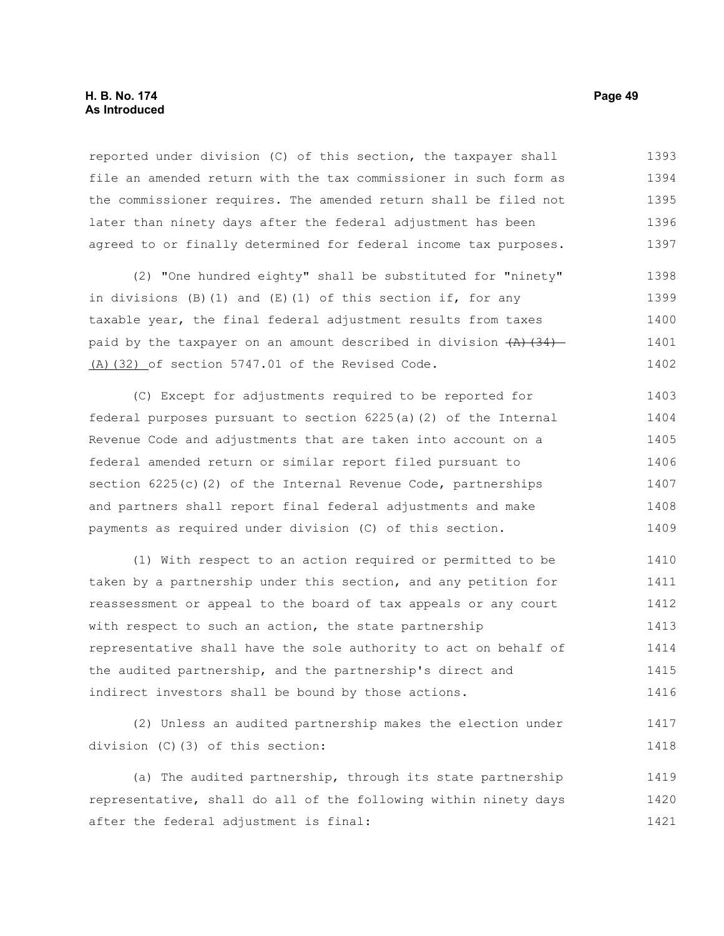reported under division (C) of this section, the taxpayer shall file an amended return with the tax commissioner in such form as the commissioner requires. The amended return shall be filed not later than ninety days after the federal adjustment has been agreed to or finally determined for federal income tax purposes. 1393 1394 1395 1396 1397

(2) "One hundred eighty" shall be substituted for "ninety" in divisions  $(B)$  (1) and  $(E)$  (1) of this section if, for any taxable year, the final federal adjustment results from taxes paid by the taxpayer on an amount described in division  $(A)$   $(34)$ (A)(32) of section 5747.01 of the Revised Code. 1398 1399 1400 1401 1402

(C) Except for adjustments required to be reported for federal purposes pursuant to section 6225(a)(2) of the Internal Revenue Code and adjustments that are taken into account on a federal amended return or similar report filed pursuant to section 6225(c)(2) of the Internal Revenue Code, partnerships and partners shall report final federal adjustments and make payments as required under division (C) of this section. 1403 1404 1405 1406 1407 1408 1409

(1) With respect to an action required or permitted to be taken by a partnership under this section, and any petition for reassessment or appeal to the board of tax appeals or any court with respect to such an action, the state partnership representative shall have the sole authority to act on behalf of the audited partnership, and the partnership's direct and indirect investors shall be bound by those actions. 1410 1411 1412 1413 1414 1415 1416

(2) Unless an audited partnership makes the election under division (C)(3) of this section: 1417 1418

(a) The audited partnership, through its state partnership representative, shall do all of the following within ninety days after the federal adjustment is final: 1419 1420 1421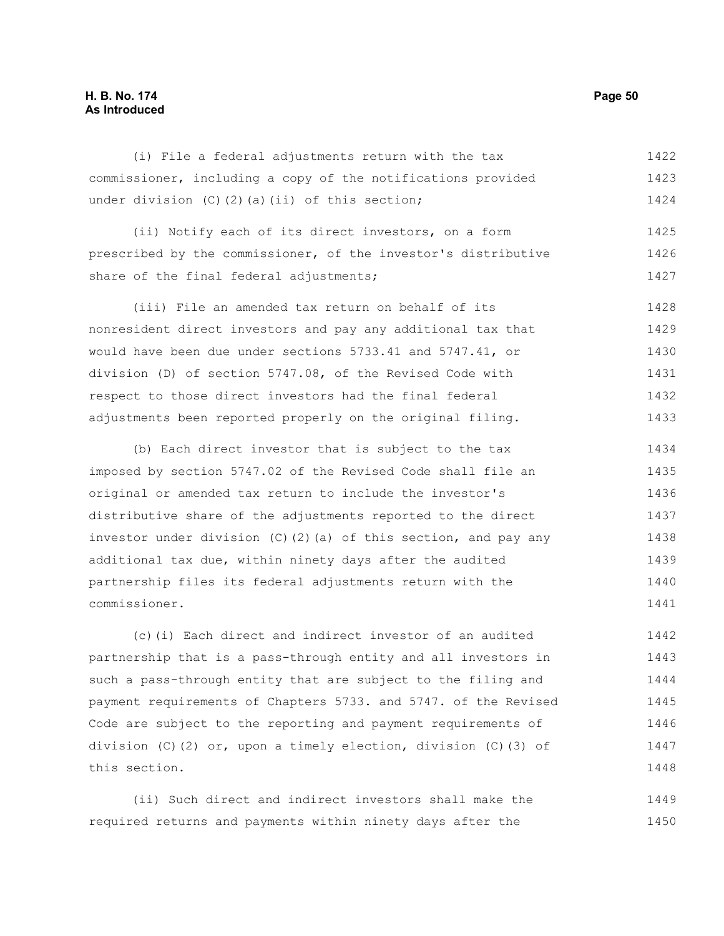### **H. B. No. 174 Page 50 As Introduced**

share of the final federal adjustments;

| (i) File a federal adjustments return with the tax             | 1422 |
|----------------------------------------------------------------|------|
| commissioner, including a copy of the notifications provided   | 1423 |
| under division $(C)$ $(2)$ $(a)$ $(ii)$ of this section;       | 1424 |
| (ii) Notify each of its direct investors, on a form            | 1425 |
| prescribed by the commissioner, of the investor's distributive | 1426 |

(iii) File an amended tax return on behalf of its nonresident direct investors and pay any additional tax that would have been due under sections 5733.41 and 5747.41, or division (D) of section 5747.08, of the Revised Code with respect to those direct investors had the final federal 1428 1429 1430 1431 1432

adjustments been reported properly on the original filing.

(b) Each direct investor that is subject to the tax imposed by section 5747.02 of the Revised Code shall file an original or amended tax return to include the investor's distributive share of the adjustments reported to the direct investor under division (C)(2)(a) of this section, and pay any additional tax due, within ninety days after the audited partnership files its federal adjustments return with the commissioner. 1434 1435 1436 1437 1438 1439 1440 1441

(c)(i) Each direct and indirect investor of an audited partnership that is a pass-through entity and all investors in such a pass-through entity that are subject to the filing and payment requirements of Chapters 5733. and 5747. of the Revised Code are subject to the reporting and payment requirements of division (C)(2) or, upon a timely election, division (C)(3) of this section. 1442 1443 1444 1445 1446 1447 1448

(ii) Such direct and indirect investors shall make the required returns and payments within ninety days after the 1449 1450

1427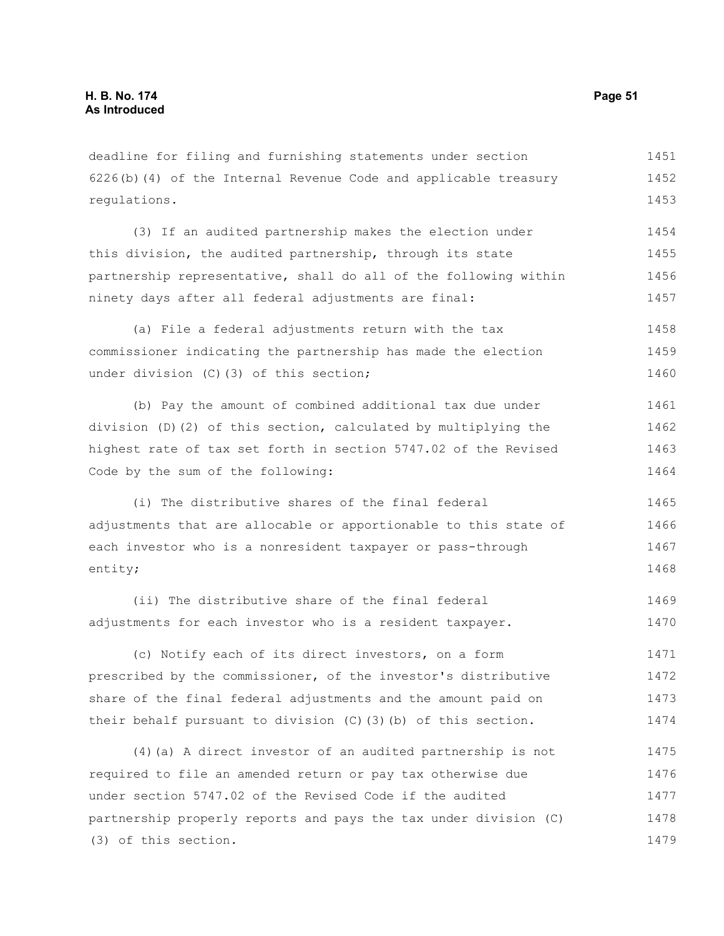deadline for filing and furnishing statements under section 6226(b)(4) of the Internal Revenue Code and applicable treasury regulations. 1451 1452 1453

(3) If an audited partnership makes the election under this division, the audited partnership, through its state partnership representative, shall do all of the following within ninety days after all federal adjustments are final: 1454 1455 1456 1457

(a) File a federal adjustments return with the tax commissioner indicating the partnership has made the election under division (C)(3) of this section; 1458 1459 1460

(b) Pay the amount of combined additional tax due under division (D)(2) of this section, calculated by multiplying the highest rate of tax set forth in section 5747.02 of the Revised Code by the sum of the following: 1461 1462 1463 1464

(i) The distributive shares of the final federal adjustments that are allocable or apportionable to this state of each investor who is a nonresident taxpayer or pass-through entity; 1465 1466 1467 1468

(ii) The distributive share of the final federal adjustments for each investor who is a resident taxpayer. 1469 1470

(c) Notify each of its direct investors, on a form prescribed by the commissioner, of the investor's distributive share of the final federal adjustments and the amount paid on their behalf pursuant to division (C)(3)(b) of this section. 1471 1472 1473 1474

(4)(a) A direct investor of an audited partnership is not required to file an amended return or pay tax otherwise due under section 5747.02 of the Revised Code if the audited partnership properly reports and pays the tax under division (C) (3) of this section. 1475 1476 1477 1478 1479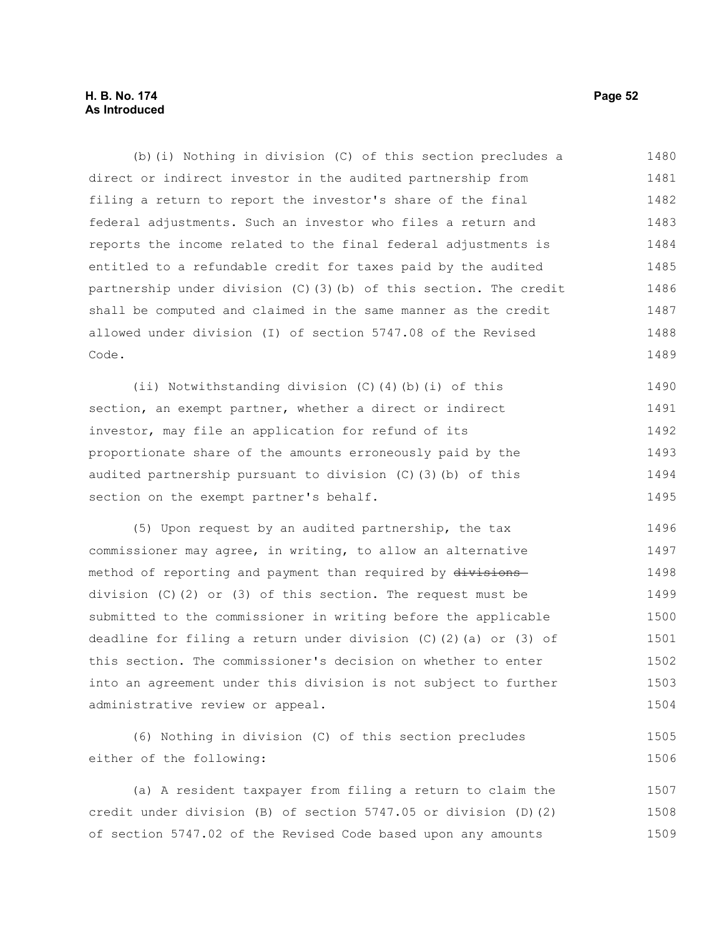### **H. B. No. 174 Page 52 As Introduced**

(b)(i) Nothing in division (C) of this section precludes a direct or indirect investor in the audited partnership from filing a return to report the investor's share of the final federal adjustments. Such an investor who files a return and reports the income related to the final federal adjustments is entitled to a refundable credit for taxes paid by the audited partnership under division (C)(3)(b) of this section. The credit shall be computed and claimed in the same manner as the credit allowed under division (I) of section 5747.08 of the Revised Code. 1480 1481 1482 1483 1484 1485 1486 1487 1488 1489

(ii) Notwithstanding division (C)(4)(b)(i) of this section, an exempt partner, whether a direct or indirect investor, may file an application for refund of its proportionate share of the amounts erroneously paid by the audited partnership pursuant to division (C)(3)(b) of this section on the exempt partner's behalf. 1490 1491 1492 1493 1494 1495

(5) Upon request by an audited partnership, the tax commissioner may agree, in writing, to allow an alternative method of reporting and payment than required by divisionsdivision (C)(2) or (3) of this section. The request must be submitted to the commissioner in writing before the applicable deadline for filing a return under division (C)(2)(a) or (3) of this section. The commissioner's decision on whether to enter into an agreement under this division is not subject to further administrative review or appeal. 1496 1497 1498 1499 1500 1501 1502 1503 1504

(6) Nothing in division (C) of this section precludes either of the following: 1505 1506

(a) A resident taxpayer from filing a return to claim the credit under division (B) of section 5747.05 or division (D)(2) of section 5747.02 of the Revised Code based upon any amounts 1507 1508 1509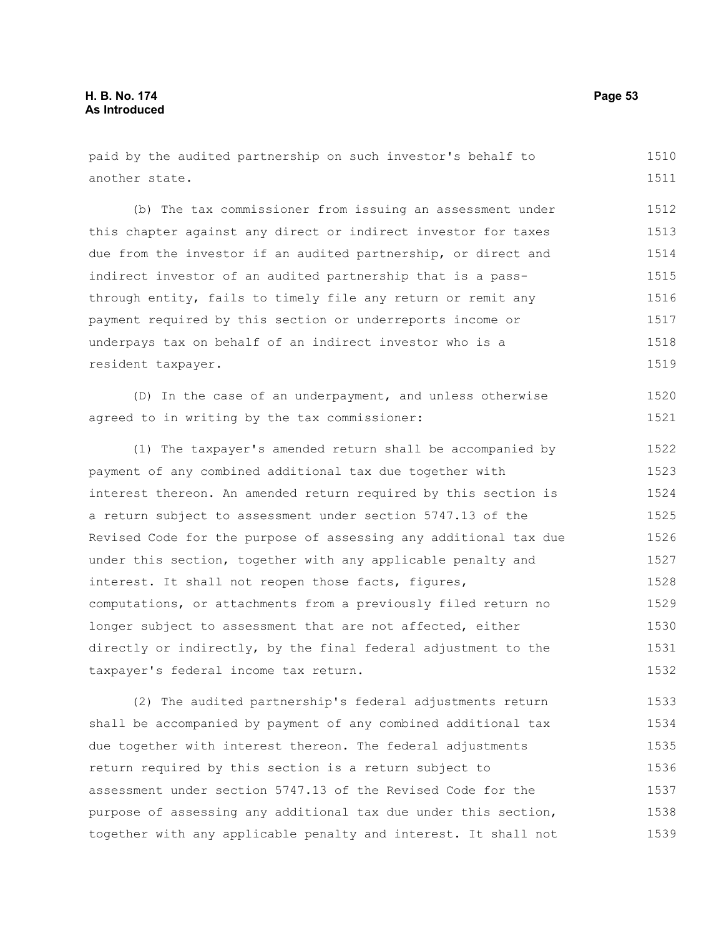| paid by the audited partnership on such investor's behalf to     | 1510  |
|------------------------------------------------------------------|-------|
| another state.                                                   | 1511  |
| (b) The tax commissioner from issuing an assessment under        | 1512  |
| this chapter against any direct or indirect investor for taxes   | 1513  |
| due from the investor if an audited partnership, or direct and   | 1514  |
| indirect investor of an audited partnership that is a pass-      | 1515  |
| through entity, fails to timely file any return or remit any     | 1516  |
| payment required by this section or underreports income or       | 1517  |
| underpays tax on behalf of an indirect investor who is a         | 1518  |
| resident taxpayer.                                               | 1519  |
| (D) In the case of an underpayment, and unless otherwise         | 1520  |
| agreed to in writing by the tax commissioner:                    | 1521  |
| (1) The taxpayer's amended return shall be accompanied by        | 1522  |
| payment of any combined additional tax due together with         | 1523  |
| interest thereon. An amended return required by this section is  | 1524  |
| a return subject to assessment under section 5747.13 of the      | 1525  |
| Revised Code for the purpose of assessing any additional tax due | 1526  |
| under this section, together with any applicable penalty and     | 1527  |
| interest. It shall not reopen those facts, figures,              | 1528  |
| computations, or attachments from a previously filed return no   | 1529  |
| longer subject to assessment that are not affected, either       | 1530  |
| directly or indirectly, by the final federal adjustment to the   | 1531  |
| taxpayer's federal income tax return.                            | 1532  |
| (2) The audited partnership's federal adjustments return         | 1533  |
| shall be accompanied by payment of any combined additional tax   | 1534  |
| due together with interest thereon. The federal adjustments      | 1535  |
| return required by this section is a return subject to           | 1536  |
| assessment under section 5747.13 of the Revised Code for the     | 1537  |
| $\sim$ and additional tau dua under                              | 1.5.0 |

purpose of assessing any additional tax due under this section, together with any applicable penalty and interest. It shall not 1538 1539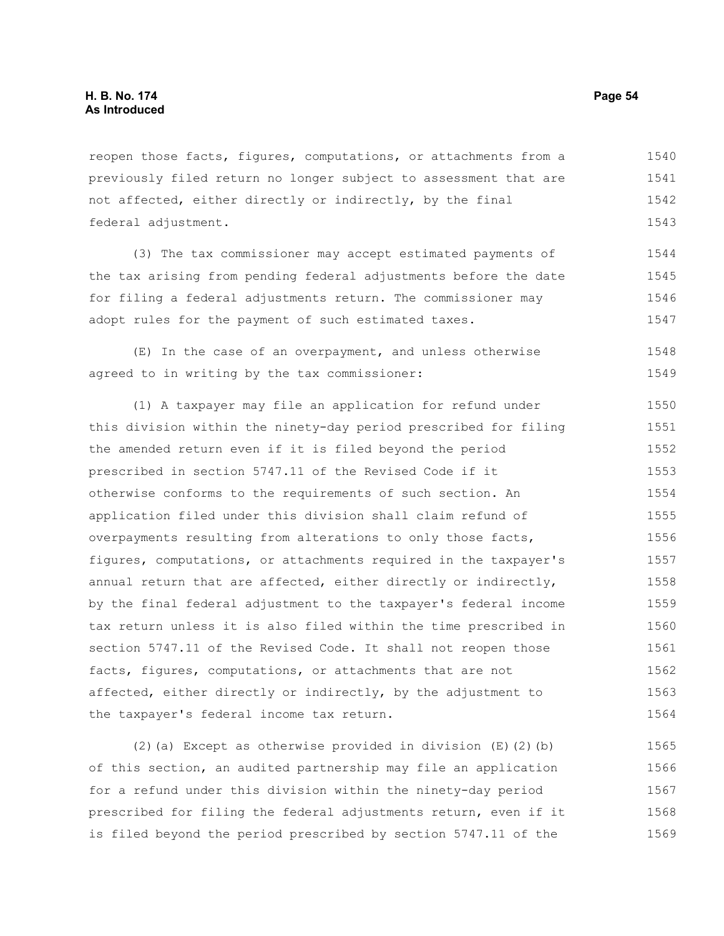reopen those facts, figures, computations, or attachments from a previously filed return no longer subject to assessment that are not affected, either directly or indirectly, by the final federal adjustment. 1540 1541 1542 1543

(3) The tax commissioner may accept estimated payments of the tax arising from pending federal adjustments before the date for filing a federal adjustments return. The commissioner may adopt rules for the payment of such estimated taxes. 1544 1545 1546 1547

(E) In the case of an overpayment, and unless otherwise agreed to in writing by the tax commissioner: 1548 1549

(1) A taxpayer may file an application for refund under this division within the ninety-day period prescribed for filing the amended return even if it is filed beyond the period prescribed in section 5747.11 of the Revised Code if it otherwise conforms to the requirements of such section. An application filed under this division shall claim refund of overpayments resulting from alterations to only those facts, figures, computations, or attachments required in the taxpayer's annual return that are affected, either directly or indirectly, by the final federal adjustment to the taxpayer's federal income tax return unless it is also filed within the time prescribed in section 5747.11 of the Revised Code. It shall not reopen those facts, figures, computations, or attachments that are not affected, either directly or indirectly, by the adjustment to the taxpayer's federal income tax return. 1550 1551 1552 1553 1554 1555 1556 1557 1558 1559 1560 1561 1562 1563 1564

(2)(a) Except as otherwise provided in division (E)(2)(b) of this section, an audited partnership may file an application for a refund under this division within the ninety-day period prescribed for filing the federal adjustments return, even if it is filed beyond the period prescribed by section 5747.11 of the 1565 1566 1567 1568 1569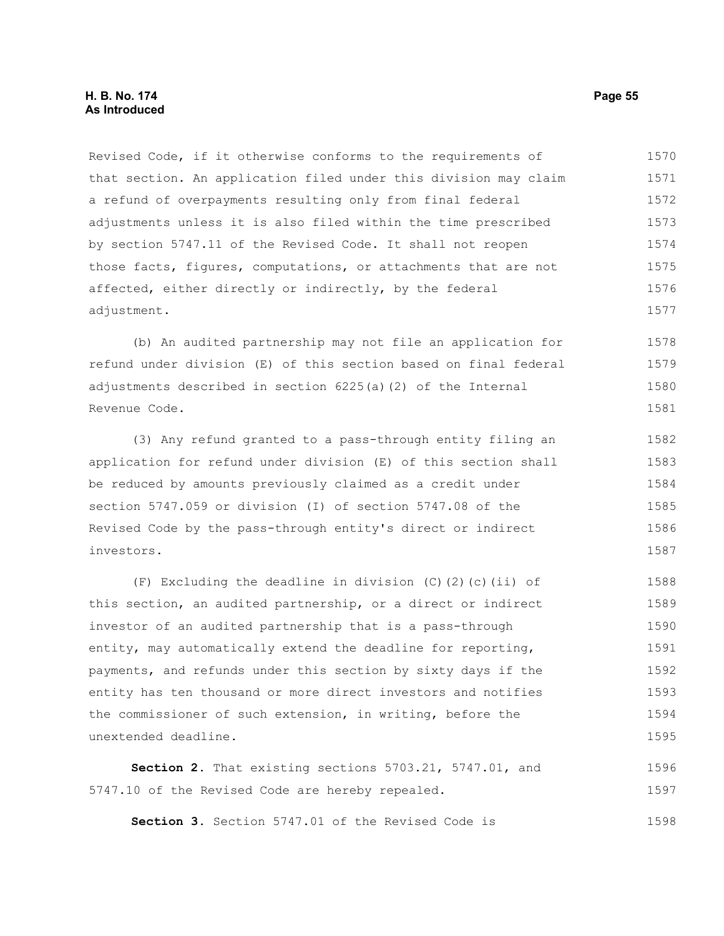#### **H. B. No. 174 Page 55 As Introduced**

Revised Code, if it otherwise conforms to the requirements of that section. An application filed under this division may claim a refund of overpayments resulting only from final federal adjustments unless it is also filed within the time prescribed by section 5747.11 of the Revised Code. It shall not reopen those facts, figures, computations, or attachments that are not affected, either directly or indirectly, by the federal adjustment. 1570 1571 1572 1573 1574 1575 1576 1577

(b) An audited partnership may not file an application for refund under division (E) of this section based on final federal adjustments described in section 6225(a)(2) of the Internal Revenue Code. 1578 1579 1580 1581

(3) Any refund granted to a pass-through entity filing an application for refund under division (E) of this section shall be reduced by amounts previously claimed as a credit under section 5747.059 or division (I) of section 5747.08 of the Revised Code by the pass-through entity's direct or indirect investors. 1582 1583 1584 1585 1586 1587

(F) Excluding the deadline in division (C)(2)(c)(ii) of this section, an audited partnership, or a direct or indirect investor of an audited partnership that is a pass-through entity, may automatically extend the deadline for reporting, payments, and refunds under this section by sixty days if the entity has ten thousand or more direct investors and notifies the commissioner of such extension, in writing, before the unextended deadline. 1588 1589 1590 1591 1592 1593 1594 1595

**Section 2.** That existing sections 5703.21, 5747.01, and 5747.10 of the Revised Code are hereby repealed. 1596 1597

**Section 3.** Section 5747.01 of the Revised Code is 1598